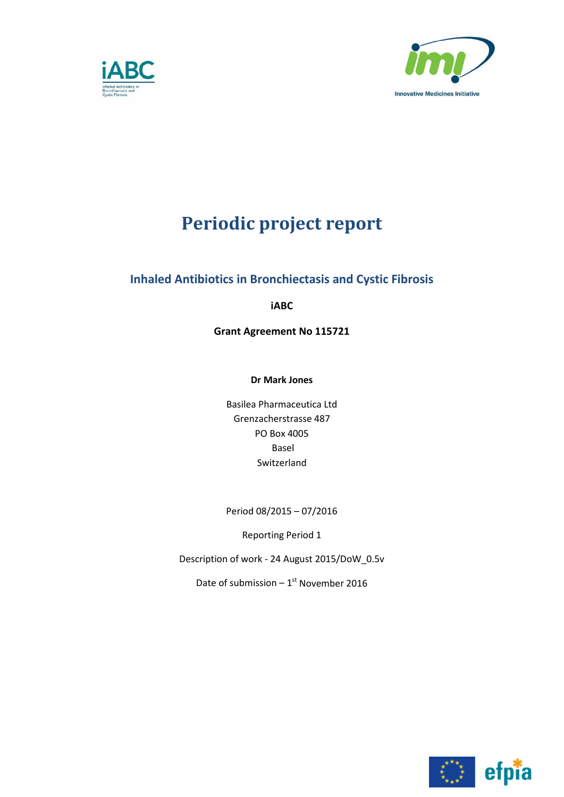



# **Periodic project report**

## **Inhaled Antibiotics in Bronchiectasis and Cystic Fibrosis**

**iABC**

**Grant Agreement No 115721**

**Dr Mark Jones**

Basilea Pharmaceutica Ltd Grenzacherstrasse 487 PO Box 4005 Basel Switzerland

Period 08/2015 – 07/2016

Reporting Period 1

Description of work - 24 August 2015/DoW\_0.5v

Date of submission –  $1<sup>st</sup>$  November 2016

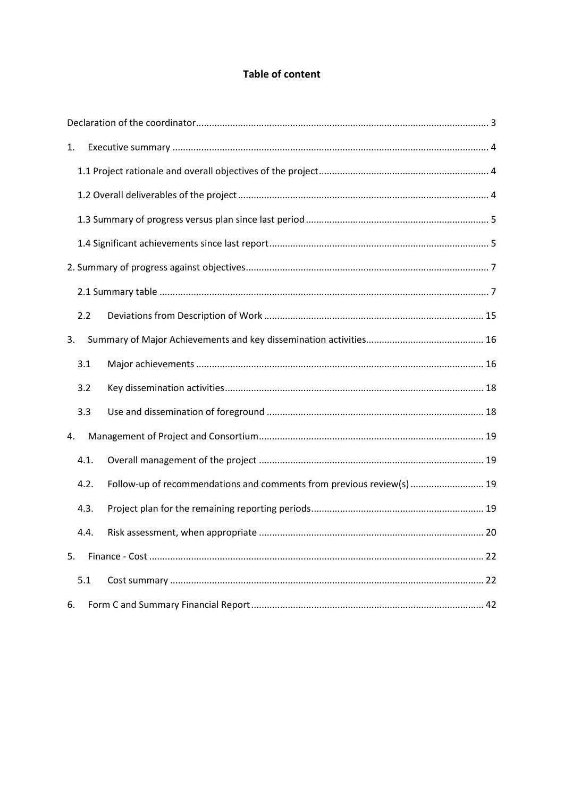## **Table of content**

| 1.   |      |                                                                       |  |  |  |  |  |  |  |  |
|------|------|-----------------------------------------------------------------------|--|--|--|--|--|--|--|--|
|      |      |                                                                       |  |  |  |  |  |  |  |  |
|      |      |                                                                       |  |  |  |  |  |  |  |  |
|      |      |                                                                       |  |  |  |  |  |  |  |  |
|      |      |                                                                       |  |  |  |  |  |  |  |  |
|      |      |                                                                       |  |  |  |  |  |  |  |  |
|      |      |                                                                       |  |  |  |  |  |  |  |  |
| 2.2  |      |                                                                       |  |  |  |  |  |  |  |  |
| 3.   |      |                                                                       |  |  |  |  |  |  |  |  |
| 3.1  |      |                                                                       |  |  |  |  |  |  |  |  |
| 3.2  |      |                                                                       |  |  |  |  |  |  |  |  |
| 3.3  |      |                                                                       |  |  |  |  |  |  |  |  |
| 4.   |      |                                                                       |  |  |  |  |  |  |  |  |
| 4.1. |      |                                                                       |  |  |  |  |  |  |  |  |
| 4.2. |      | Follow-up of recommendations and comments from previous review(s)  19 |  |  |  |  |  |  |  |  |
| 4.3. |      |                                                                       |  |  |  |  |  |  |  |  |
|      | 4.4. |                                                                       |  |  |  |  |  |  |  |  |
| 5.   |      |                                                                       |  |  |  |  |  |  |  |  |
| 5.1  |      |                                                                       |  |  |  |  |  |  |  |  |
| 6.   |      |                                                                       |  |  |  |  |  |  |  |  |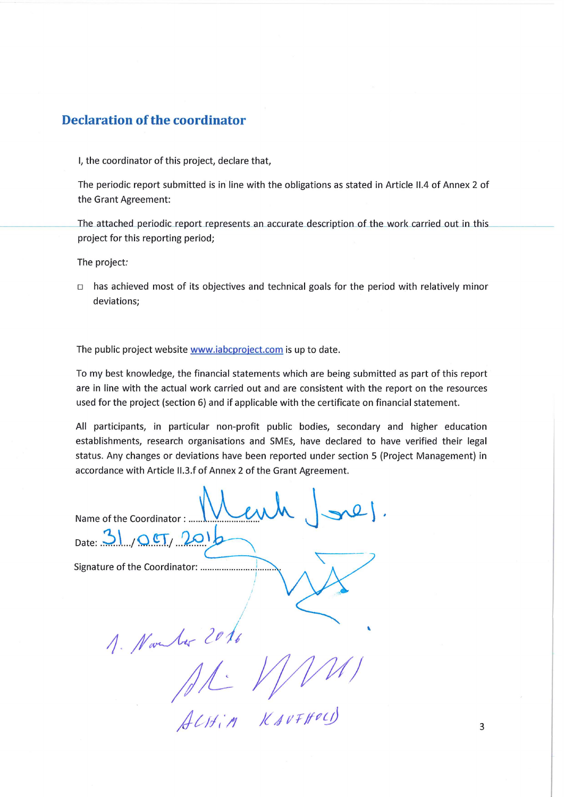## **Declaration of the coordinator**

I, the coordinator of this project, declare that,

The periodic report submitted is in line with the obligations as stated in Article II.4 of Annex 2 of the Grant Agreement:

The attached periodic report represents an accurate description of the work carried out in this project for this reporting period;

The project:

 $\Box$  has achieved most of its objectives and technical goals for the period with relatively minor deviations:

The public project website www.iabcproject.com is up to date.

To my best knowledge, the financial statements which are being submitted as part of this report are in line with the actual work carried out and are consistent with the report on the resources used for the project (section 6) and if applicable with the certificate on financial statement.

All participants, in particular non-profit public bodies, secondary and higher education establishments, research organisations and SMEs, have declared to have verified their legal status. Any changes or deviations have been reported under section 5 (Project Management) in accordance with Article II.3.f of Annex 2 of the Grant Agreement.

Name of the Coordinator: ....

Date: 31,  $OCT$ ,  $201$ 

1. Novels 2016 AL VIII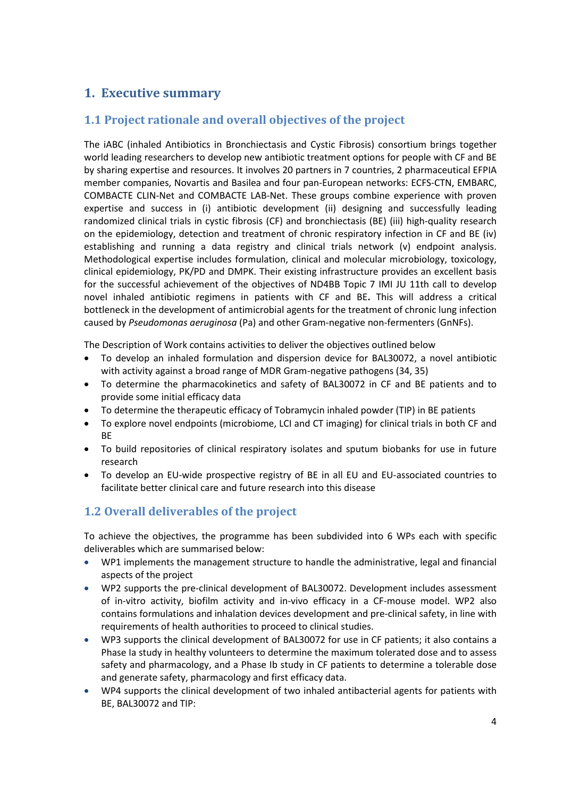## <span id="page-3-0"></span>**1. Executive summary**

## <span id="page-3-1"></span>**1.1 Project rationale and overall objectives of the project**

The iABC (inhaled Antibiotics in Bronchiectasis and Cystic Fibrosis) consortium brings together world leading researchers to develop new antibiotic treatment options for people with CF and BE by sharing expertise and resources. It involves 20 partners in 7 countries, 2 pharmaceutical EFPIA member companies, Novartis and Basilea and four pan-European networks: ECFS-CTN, EMBARC, COMBACTE CLIN-Net and COMBACTE LAB-Net. These groups combine experience with proven expertise and success in (i) antibiotic development (ii) designing and successfully leading randomized clinical trials in cystic fibrosis (CF) and bronchiectasis (BE) (iii) high-quality research on the epidemiology, detection and treatment of chronic respiratory infection in CF and BE (iv) establishing and running a data registry and clinical trials network (v) endpoint analysis. Methodological expertise includes formulation, clinical and molecular microbiology, toxicology, clinical epidemiology, PK/PD and DMPK. Their existing infrastructure provides an excellent basis for the successful achievement of the objectives of ND4BB Topic 7 IMI JU 11th call to develop novel inhaled antibiotic regimens in patients with CF and BE**.** This will address a critical bottleneck in the development of antimicrobial agents for the treatment of chronic lung infection caused by *Pseudomonas aeruginosa* (Pa) and other Gram-negative non-fermenters (GnNFs).

The Description of Work contains activities to deliver the objectives outlined below

- To develop an inhaled formulation and dispersion device for BAL30072, a novel antibiotic with activity against a broad range of MDR Gram-negative pathogens (34, 35)
- To determine the pharmacokinetics and safety of BAL30072 in CF and BE patients and to provide some initial efficacy data
- To determine the therapeutic efficacy of Tobramycin inhaled powder (TIP) in BE patients
- To explore novel endpoints (microbiome, LCI and CT imaging) for clinical trials in both CF and **RF**
- To build repositories of clinical respiratory isolates and sputum biobanks for use in future research
- To develop an EU-wide prospective registry of BE in all EU and EU-associated countries to facilitate better clinical care and future research into this disease

## <span id="page-3-2"></span>**1.2 Overall deliverables of the project**

To achieve the objectives, the programme has been subdivided into 6 WPs each with specific deliverables which are summarised below:

- WP1 implements the management structure to handle the administrative, legal and financial aspects of the project
- WP2 supports the pre-clinical development of BAL30072. Development includes assessment of in-vitro activity, biofilm activity and in-vivo efficacy in a CF-mouse model. WP2 also contains formulations and inhalation devices development and pre-clinical safety, in line with requirements of health authorities to proceed to clinical studies.
- WP3 supports the clinical development of BAL30072 for use in CF patients; it also contains a Phase Ia study in healthy volunteers to determine the maximum tolerated dose and to assess safety and pharmacology, and a Phase Ib study in CF patients to determine a tolerable dose and generate safety, pharmacology and first efficacy data.
- WP4 supports the clinical development of two inhaled antibacterial agents for patients with BE, BAL30072 and TIP: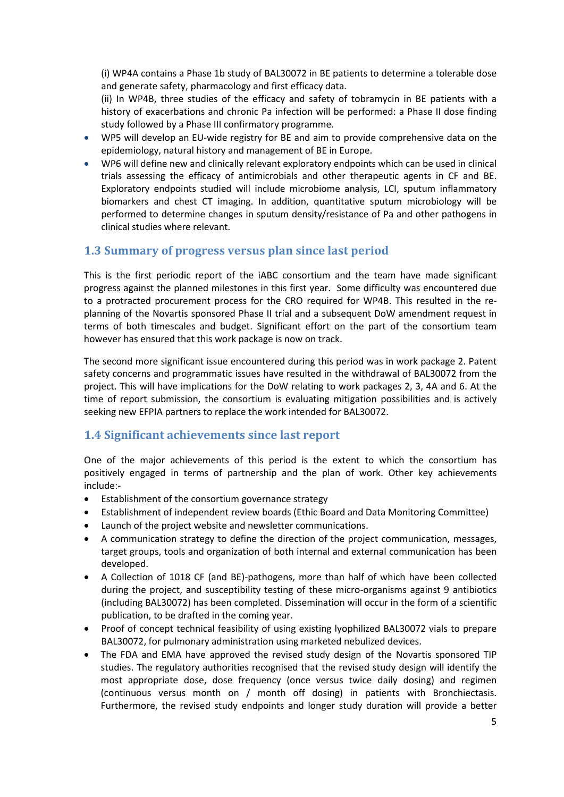(i) WP4A contains a Phase 1b study of BAL30072 in BE patients to determine a tolerable dose and generate safety, pharmacology and first efficacy data.

(ii) In WP4B, three studies of the efficacy and safety of tobramycin in BE patients with a history of exacerbations and chronic Pa infection will be performed: a Phase II dose finding study followed by a Phase III confirmatory programme.

- WP5 will develop an EU-wide registry for BE and aim to provide comprehensive data on the epidemiology, natural history and management of BE in Europe.
- WP6 will define new and clinically relevant exploratory endpoints which can be used in clinical trials assessing the efficacy of antimicrobials and other therapeutic agents in CF and BE. Exploratory endpoints studied will include microbiome analysis, LCI, sputum inflammatory biomarkers and chest CT imaging. In addition, quantitative sputum microbiology will be performed to determine changes in sputum density/resistance of Pa and other pathogens in clinical studies where relevant.

## <span id="page-4-0"></span>**1.3 Summary of progress versus plan since last period**

This is the first periodic report of the iABC consortium and the team have made significant progress against the planned milestones in this first year. Some difficulty was encountered due to a protracted procurement process for the CRO required for WP4B. This resulted in the replanning of the Novartis sponsored Phase II trial and a subsequent DoW amendment request in terms of both timescales and budget. Significant effort on the part of the consortium team however has ensured that this work package is now on track.

The second more significant issue encountered during this period was in work package 2. Patent safety concerns and programmatic issues have resulted in the withdrawal of BAL30072 from the project. This will have implications for the DoW relating to work packages 2, 3, 4A and 6. At the time of report submission, the consortium is evaluating mitigation possibilities and is actively seeking new EFPIA partners to replace the work intended for BAL30072.

## <span id="page-4-1"></span>**1.4 Significant achievements since last report**

One of the major achievements of this period is the extent to which the consortium has positively engaged in terms of partnership and the plan of work. Other key achievements include:-

- Establishment of the consortium governance strategy
- Establishment of independent review boards (Ethic Board and Data Monitoring Committee)
- Launch of the project website and newsletter communications.
- A communication strategy to define the direction of the project communication, messages, target groups, tools and organization of both internal and external communication has been developed.
- A Collection of 1018 CF (and BE)-pathogens, more than half of which have been collected during the project, and susceptibility testing of these micro-organisms against 9 antibiotics (including BAL30072) has been completed. Dissemination will occur in the form of a scientific publication, to be drafted in the coming year.
- Proof of concept technical feasibility of using existing lyophilized BAL30072 vials to prepare BAL30072, for pulmonary administration using marketed nebulized devices.
- The FDA and EMA have approved the revised study design of the Novartis sponsored TIP studies. The regulatory authorities recognised that the revised study design will identify the most appropriate dose, dose frequency (once versus twice daily dosing) and regimen (continuous versus month on / month off dosing) in patients with Bronchiectasis. Furthermore, the revised study endpoints and longer study duration will provide a better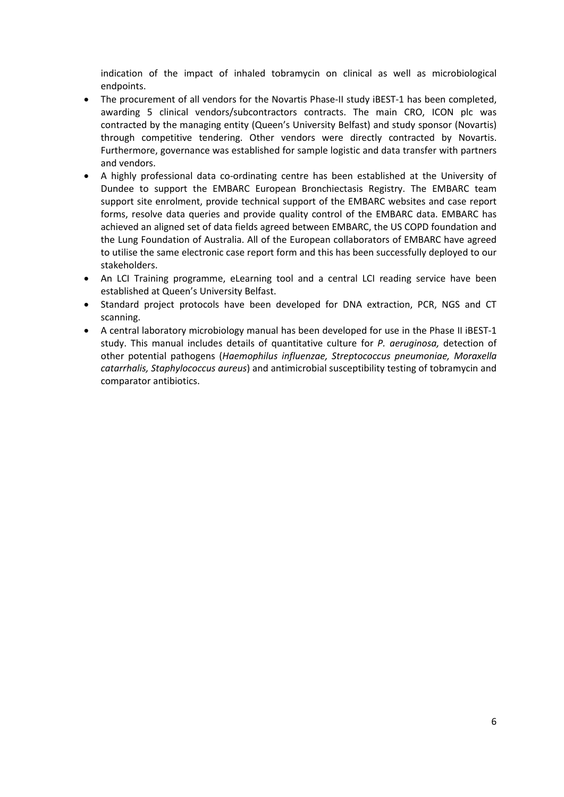indication of the impact of inhaled tobramycin on clinical as well as microbiological endpoints.

- The procurement of all vendors for the Novartis Phase-II study iBEST-1 has been completed, awarding 5 clinical vendors/subcontractors contracts. The main CRO, ICON plc was contracted by the managing entity (Queen's University Belfast) and study sponsor (Novartis) through competitive tendering. Other vendors were directly contracted by Novartis. Furthermore, governance was established for sample logistic and data transfer with partners and vendors.
- A highly professional data co-ordinating centre has been established at the University of Dundee to support the EMBARC European Bronchiectasis Registry. The EMBARC team support site enrolment, provide technical support of the EMBARC websites and case report forms, resolve data queries and provide quality control of the EMBARC data. EMBARC has achieved an aligned set of data fields agreed between EMBARC, the US COPD foundation and the Lung Foundation of Australia. All of the European collaborators of EMBARC have agreed to utilise the same electronic case report form and this has been successfully deployed to our stakeholders.
- An LCI Training programme, eLearning tool and a central LCI reading service have been established at Queen's University Belfast.
- Standard project protocols have been developed for DNA extraction, PCR, NGS and CT scanning.
- A central laboratory microbiology manual has been developed for use in the Phase II iBEST-1 study. This manual includes details of quantitative culture for *P. aeruginosa,* detection of other potential pathogens (*Haemophilus influenzae, Streptococcus pneumoniae, Moraxella catarrhalis, Staphylococcus aureus*) and antimicrobial susceptibility testing of tobramycin and comparator antibiotics.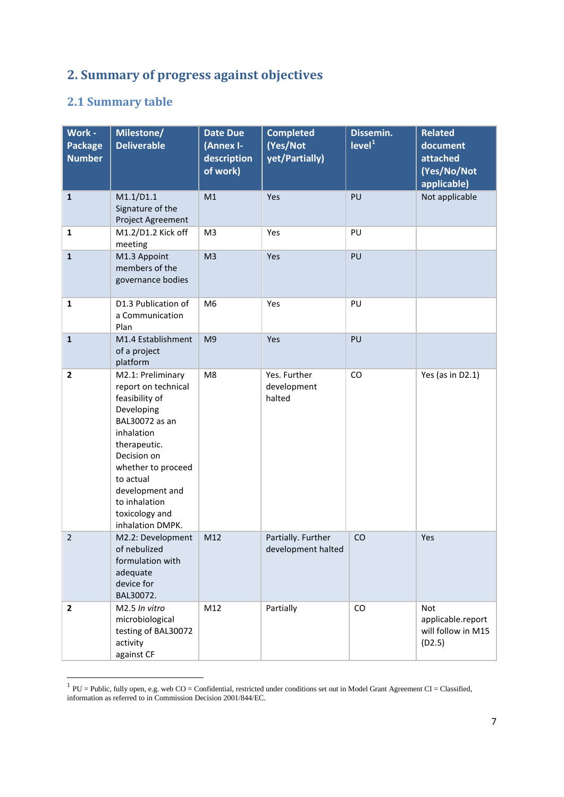# <span id="page-6-0"></span>**2. Summary of progress against objectives**

# <span id="page-6-1"></span>**2.1 Summary table**

| Work -<br><b>Package</b><br><b>Number</b> | Milestone/<br><b>Deliverable</b>                                                                                                                                                                                                                     | <b>Date Due</b><br>(Annex I-<br>description<br>of work) | <b>Completed</b><br>(Yes/Not<br>yet/Partially) | Dissemin.<br>level <sup>1</sup> | <b>Related</b><br>document<br>attached<br>(Yes/No/Not<br>applicable) |
|-------------------------------------------|------------------------------------------------------------------------------------------------------------------------------------------------------------------------------------------------------------------------------------------------------|---------------------------------------------------------|------------------------------------------------|---------------------------------|----------------------------------------------------------------------|
| $\mathbf 1$                               | M1.1/D1.1<br>Signature of the<br>Project Agreement                                                                                                                                                                                                   | M1                                                      | Yes                                            | PU                              | Not applicable                                                       |
| $\mathbf{1}$                              | M1.2/D1.2 Kick off<br>meeting                                                                                                                                                                                                                        | M <sub>3</sub>                                          | Yes                                            | PU                              |                                                                      |
| $\mathbf{1}$                              | M1.3 Appoint<br>members of the<br>governance bodies                                                                                                                                                                                                  | M <sub>3</sub>                                          | Yes                                            | PU                              |                                                                      |
| $\mathbf{1}$                              | D1.3 Publication of<br>a Communication<br>Plan                                                                                                                                                                                                       | M <sub>6</sub>                                          | Yes                                            |                                 |                                                                      |
| $\mathbf 1$                               | M1.4 Establishment<br>of a project<br>platform                                                                                                                                                                                                       | M <sub>9</sub>                                          | Yes                                            | PU                              |                                                                      |
| $\mathbf{2}$                              | M2.1: Preliminary<br>report on technical<br>feasibility of<br>Developing<br>BAL30072 as an<br>inhalation<br>therapeutic.<br>Decision on<br>whether to proceed<br>to actual<br>development and<br>to inhalation<br>toxicology and<br>inhalation DMPK. | M8                                                      | Yes. Further<br>development<br>halted          | CO                              | Yes (as in D2.1)                                                     |
| $\overline{2}$                            | M2.2: Development<br>of nebulized<br>formulation with<br>adequate<br>device for<br>BAL30072.                                                                                                                                                         | M12                                                     | Partially. Further<br>CO<br>development halted |                                 | Yes                                                                  |
| $\mathbf{2}$                              | M2.5 In vitro<br>microbiological<br>testing of BAL30072<br>activity<br>against CF                                                                                                                                                                    | M12                                                     | Partially                                      | CO                              | Not<br>applicable.report<br>will follow in M15<br>(D2.5)             |

<span id="page-6-2"></span> $1$  PU = Public, fully open, e.g. web CO = Confidential, restricted under conditions set out in Model Grant Agreement CI = Classified, information as referred to in Commission Decision 2001/844/EC.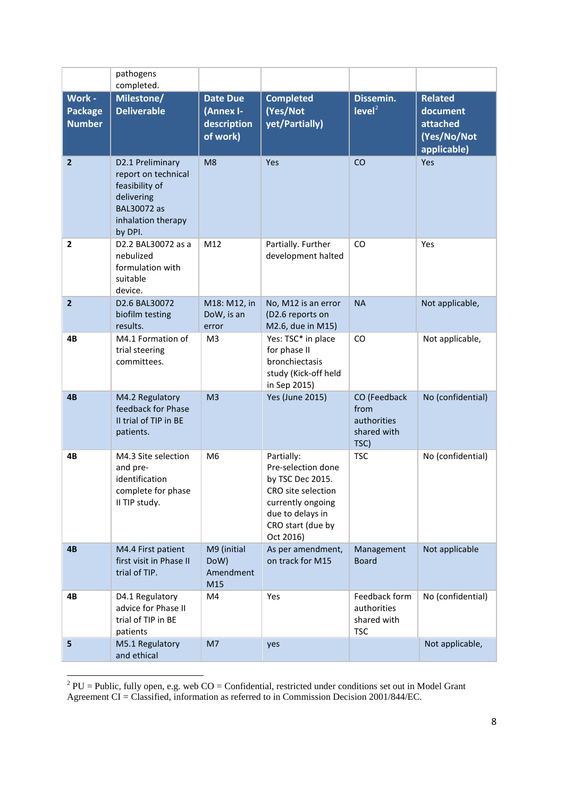|                                           | pathogens<br>completed.                                                                                                 |                                                         |                                                                                                                                                       |                                                            |                                                                      |
|-------------------------------------------|-------------------------------------------------------------------------------------------------------------------------|---------------------------------------------------------|-------------------------------------------------------------------------------------------------------------------------------------------------------|------------------------------------------------------------|----------------------------------------------------------------------|
| Work -<br><b>Package</b><br><b>Number</b> | Milestone/<br><b>Deliverable</b>                                                                                        | <b>Date Due</b><br>(Annex I-<br>description<br>of work) | <b>Completed</b><br>(Yes/Not<br>yet/Partially)                                                                                                        | Dissemin.<br>level <sup>2</sup>                            | <b>Related</b><br>document<br>attached<br>(Yes/No/Not<br>applicable) |
| $\mathbf{2}$                              | D2.1 Preliminary<br>report on technical<br>feasibility of<br>delivering<br>BAL30072 as<br>inhalation therapy<br>by DPI. | M <sub>8</sub>                                          | Yes                                                                                                                                                   | CO                                                         | Yes                                                                  |
| $\overline{2}$                            | D2.2 BAL30072 as a<br>nebulized<br>formulation with<br>suitable<br>device.                                              | M12                                                     | Partially. Further<br>development halted                                                                                                              | CO                                                         | Yes                                                                  |
| $\overline{\mathbf{2}}$                   | D2.6 BAL30072<br>biofilm testing<br>results.                                                                            | M18: M12, in<br>DoW, is an<br>error                     | No, M12 is an error<br>(D2.6 reports on<br>M2.6, due in M15)                                                                                          | <b>NA</b>                                                  | Not applicable,                                                      |
| 4B                                        | M4.1 Formation of<br>trial steering<br>committees.                                                                      | M <sub>3</sub>                                          | Yes: TSC* in place<br>for phase II<br>bronchiectasis<br>study (Kick-off held<br>in Sep 2015)                                                          | CO                                                         | Not applicable,                                                      |
| 4B                                        | M4.2 Regulatory<br>feedback for Phase<br>II trial of TIP in BE<br>patients.                                             | M <sub>3</sub>                                          | <b>Yes (June 2015)</b>                                                                                                                                | CO (Feedback<br>from<br>authorities<br>shared with<br>TSC) | No (confidential)                                                    |
| 4B                                        | M4.3 Site selection<br>and pre-<br>identification<br>complete for phase<br>II TIP study.                                | M <sub>6</sub>                                          | Partially:<br>Pre-selection done<br>by TSC Dec 2015.<br>CRO site selection<br>currently ongoing<br>due to delays in<br>CRO start (due by<br>Oct 2016) | <b>TSC</b>                                                 | No (confidential)                                                    |
| 4B                                        | M4.4 First patient<br>first visit in Phase II<br>trial of TIP.                                                          | M9 (initial<br>DoW)<br>Amendment<br>M15                 | As per amendment,<br>on track for M15                                                                                                                 | Management<br><b>Board</b>                                 | Not applicable                                                       |
| 4B                                        | D4.1 Regulatory<br>advice for Phase II<br>trial of TIP in BE<br>patients                                                | M4                                                      | Yes                                                                                                                                                   | Feedback form<br>authorities<br>shared with<br><b>TSC</b>  | No (confidential)                                                    |
| 5                                         | M5.1 Regulatory<br>and ethical                                                                                          | M7                                                      | yes                                                                                                                                                   |                                                            | Not applicable,                                                      |

<span id="page-7-0"></span><sup>&</sup>lt;sup>2</sup> PU = Public, fully open, e.g. web CO = Confidential, restricted under conditions set out in Model Grant Agreement CI = Classified, information as referred to in Commission Decision 2001/844/EC.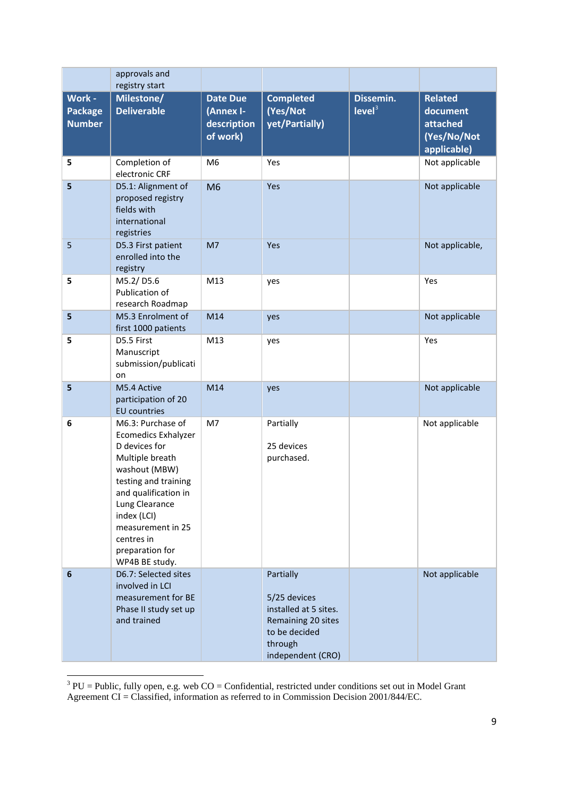|                                           | approvals and<br>registry start                                                                                                                                                                                                                               |                                                  |                                                                                                                           |                                 |                                                                      |
|-------------------------------------------|---------------------------------------------------------------------------------------------------------------------------------------------------------------------------------------------------------------------------------------------------------------|--------------------------------------------------|---------------------------------------------------------------------------------------------------------------------------|---------------------------------|----------------------------------------------------------------------|
| Work -<br><b>Package</b><br><b>Number</b> | Milestone/<br><b>Deliverable</b>                                                                                                                                                                                                                              | Date Due<br>(Annex I-<br>description<br>of work) | <b>Completed</b><br>(Yes/Not<br>yet/Partially)                                                                            | Dissemin.<br>level <sup>3</sup> | <b>Related</b><br>document<br>attached<br>(Yes/No/Not<br>applicable) |
| 5                                         | Completion of<br>electronic CRF                                                                                                                                                                                                                               | M <sub>6</sub>                                   | Yes                                                                                                                       |                                 | Not applicable                                                       |
| 5                                         | D5.1: Alignment of<br>proposed registry<br>fields with<br>international<br>registries                                                                                                                                                                         | M <sub>6</sub>                                   | Yes                                                                                                                       |                                 | Not applicable                                                       |
| 5                                         | D5.3 First patient<br>enrolled into the<br>registry                                                                                                                                                                                                           | M7                                               | Yes                                                                                                                       |                                 | Not applicable,                                                      |
| 5                                         | M5.2/D5.6<br>Publication of<br>research Roadmap                                                                                                                                                                                                               | M13                                              | yes                                                                                                                       |                                 | Yes                                                                  |
| 5                                         | M5.3 Enrolment of<br>first 1000 patients                                                                                                                                                                                                                      | M14                                              | yes                                                                                                                       |                                 | Not applicable                                                       |
| 5                                         | D5.5 First<br>Manuscript<br>submission/publicati<br>on                                                                                                                                                                                                        | M13                                              | yes                                                                                                                       |                                 | Yes                                                                  |
| 5                                         | M5.4 Active<br>participation of 20<br><b>EU</b> countries                                                                                                                                                                                                     | M14                                              | yes                                                                                                                       |                                 | Not applicable                                                       |
| 6                                         | M6.3: Purchase of<br><b>Ecomedics Exhalyzer</b><br>D devices for<br>Multiple breath<br>washout (MBW)<br>testing and training<br>and qualification in<br>Lung Clearance<br>index (LCI)<br>measurement in 25<br>centres in<br>preparation for<br>WP4B BE study. | M7                                               | Partially<br>25 devices<br>purchased.                                                                                     |                                 | Not applicable                                                       |
| 6                                         | D6.7: Selected sites<br>involved in LCI<br>measurement for BE<br>Phase II study set up<br>and trained                                                                                                                                                         |                                                  | Partially<br>5/25 devices<br>installed at 5 sites.<br>Remaining 20 sites<br>to be decided<br>through<br>independent (CRO) |                                 | Not applicable                                                       |

<span id="page-8-0"></span> $3$  PU = Public, fully open, e.g. web CO = Confidential, restricted under conditions set out in Model Grant Agreement CI = Classified, information as referred to in Commission Decision 2001/844/EC.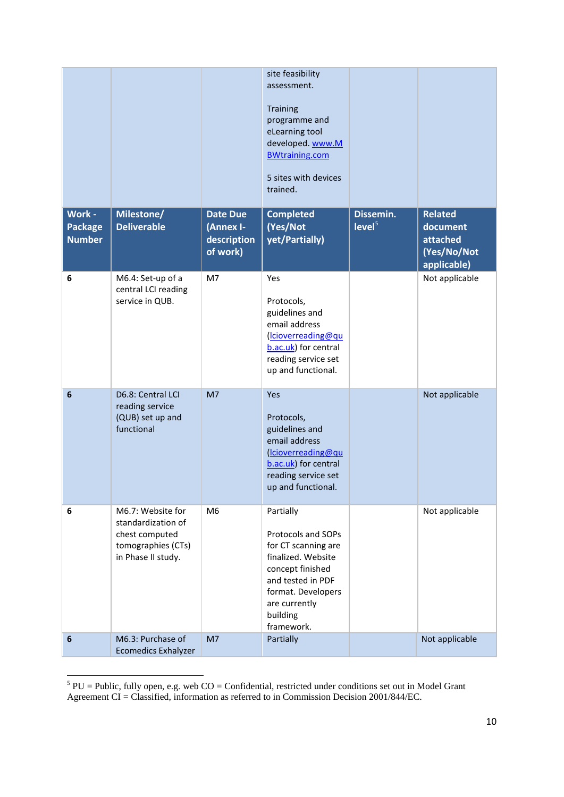|                                           |                                                                                                       |                                                         | site feasibility<br>assessment.<br>Training<br>programme and<br>eLearning tool<br>developed. www.M<br><b>BWtraining.com</b><br>5 sites with devices<br>trained.                        |                                    |                                                                      |
|-------------------------------------------|-------------------------------------------------------------------------------------------------------|---------------------------------------------------------|----------------------------------------------------------------------------------------------------------------------------------------------------------------------------------------|------------------------------------|----------------------------------------------------------------------|
| Work -<br><b>Package</b><br><b>Number</b> | Milestone/<br><b>Deliverable</b>                                                                      | <b>Date Due</b><br>(Annex I-<br>description<br>of work) | <b>Completed</b><br>(Yes/Not<br>yet/Partially)                                                                                                                                         | Dissemin.<br>$I$ evel <sup>5</sup> | <b>Related</b><br>document<br>attached<br>(Yes/No/Not<br>applicable) |
| 6                                         | M6.4: Set-up of a<br>central LCI reading<br>service in QUB.                                           | M7                                                      | Yes<br>Protocols,<br>guidelines and<br>email address<br>(Icioverreading@qu<br>b.ac.uk) for central<br>reading service set<br>up and functional.                                        |                                    | Not applicable                                                       |
| $6\phantom{1}6$                           | D6.8: Central LCI<br>reading service<br>(QUB) set up and<br>functional                                | M <sub>7</sub>                                          | Yes<br>Protocols,<br>guidelines and<br>email address<br>(Icioverreading@qu<br>b.ac.uk) for central<br>reading service set<br>up and functional.                                        |                                    | Not applicable                                                       |
| 6                                         | M6.7: Website for<br>standardization of<br>chest computed<br>tomographies (CTs)<br>in Phase II study. | M <sub>6</sub>                                          | Partially<br>Protocols and SOPs<br>for CT scanning are<br>finalized. Website<br>concept finished<br>and tested in PDF<br>format. Developers<br>are currently<br>building<br>framework. |                                    | Not applicable                                                       |
| $6\phantom{1}6$                           | M6.3: Purchase of<br><b>Ecomedics Exhalyzer</b>                                                       | M <sub>7</sub>                                          | Partially                                                                                                                                                                              |                                    | Not applicable                                                       |

<span id="page-9-0"></span> $5$  PU = Public, fully open, e.g. web CO = Confidential, restricted under conditions set out in Model Grant Agreement CI = Classified, information as referred to in Commission Decision 2001/844/EC.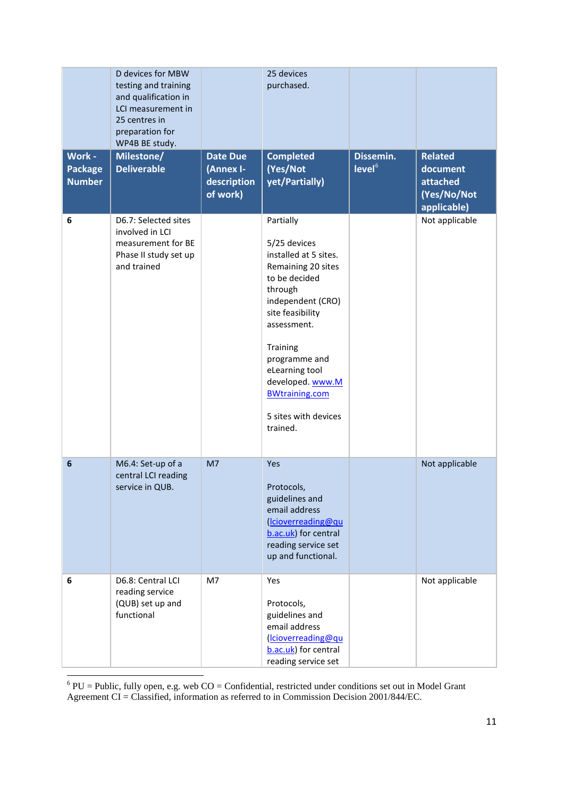|                                           | D devices for MBW<br>testing and training<br>and qualification in<br>LCI measurement in<br>25 centres in<br>preparation for<br>WP4B BE study. |                                                         | 25 devices<br>purchased.                                                                                                                                                                                                                                                                     |                                 |                                                                      |
|-------------------------------------------|-----------------------------------------------------------------------------------------------------------------------------------------------|---------------------------------------------------------|----------------------------------------------------------------------------------------------------------------------------------------------------------------------------------------------------------------------------------------------------------------------------------------------|---------------------------------|----------------------------------------------------------------------|
| Work -<br><b>Package</b><br><b>Number</b> | Milestone/<br><b>Deliverable</b>                                                                                                              | <b>Date Due</b><br>(Annex I-<br>description<br>of work) | <b>Completed</b><br>(Yes/Not<br>yet/Partially)                                                                                                                                                                                                                                               | Dissemin.<br>level <sup>6</sup> | <b>Related</b><br>document<br>attached<br>(Yes/No/Not<br>applicable) |
| 6                                         | D6.7: Selected sites<br>involved in LCI<br>measurement for BE<br>Phase II study set up<br>and trained                                         |                                                         | Partially<br>5/25 devices<br>installed at 5 sites.<br>Remaining 20 sites<br>to be decided<br>through<br>independent (CRO)<br>site feasibility<br>assessment.<br>Training<br>programme and<br>eLearning tool<br>developed. www.M<br><b>BWtraining.com</b><br>5 sites with devices<br>trained. |                                 | Not applicable                                                       |
| 6                                         | M6.4: Set-up of a<br>central LCI reading<br>service in QUB.                                                                                   | M <sub>7</sub>                                          | Yes<br>Protocols,<br>guidelines and<br>email address<br>(Icioverreading@qu<br>b.ac.uk) for central<br>reading service set<br>up and functional.                                                                                                                                              |                                 | Not applicable                                                       |
| 6                                         | D6.8: Central LCI<br>reading service<br>(QUB) set up and<br>functional                                                                        | M7                                                      | Yes<br>Protocols,<br>guidelines and<br>email address<br>(Icioverreading@qu<br>b.ac.uk) for central<br>reading service set                                                                                                                                                                    |                                 | Not applicable                                                       |

<span id="page-10-0"></span> $\frac{6}{6}$  PU = Public, fully open, e.g. web CO = Confidential, restricted under conditions set out in Model Grant Agreement CI = Classified, information as referred to in Commission Decision 2001/844/EC.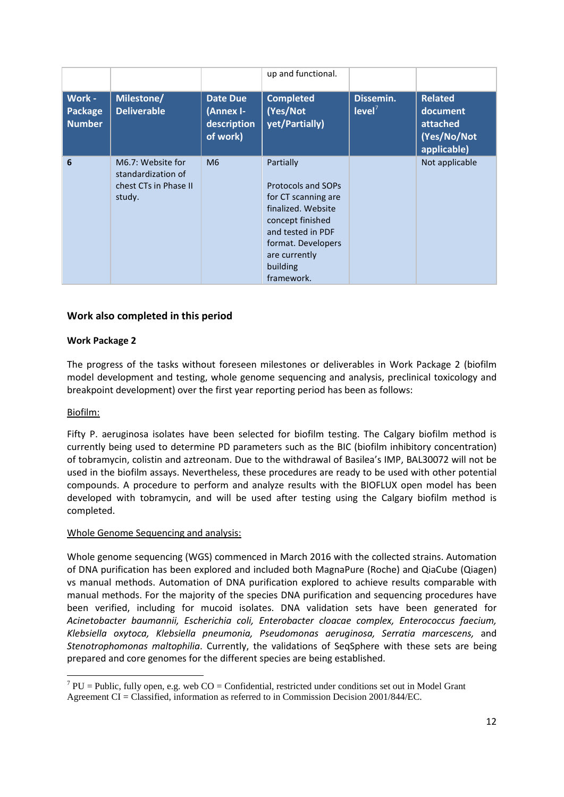|                                    |                                                                            |                                                         | up and functional.                                                                                                                                                                     |                                 |                                                                      |
|------------------------------------|----------------------------------------------------------------------------|---------------------------------------------------------|----------------------------------------------------------------------------------------------------------------------------------------------------------------------------------------|---------------------------------|----------------------------------------------------------------------|
| Work -<br>Package<br><b>Number</b> | Milestone/<br><b>Deliverable</b>                                           | <b>Date Due</b><br>(Annex I-<br>description<br>of work) | <b>Completed</b><br>(Yes/Not<br>yet/Partially)                                                                                                                                         | Dissemin.<br>level <sup>7</sup> | <b>Related</b><br>document<br>attached<br>(Yes/No/Not<br>applicable) |
| 6                                  | M6.7: Website for<br>standardization of<br>chest CTs in Phase II<br>study. | M6                                                      | Partially<br>Protocols and SOPs<br>for CT scanning are<br>finalized. Website<br>concept finished<br>and tested in PDF<br>format. Developers<br>are currently<br>building<br>framework. |                                 | Not applicable                                                       |

## **Work also completed in this period**

## **Work Package 2**

The progress of the tasks without foreseen milestones or deliverables in Work Package 2 (biofilm model development and testing, whole genome sequencing and analysis, preclinical toxicology and breakpoint development) over the first year reporting period has been as follows:

#### Biofilm:

Fifty P. aeruginosa isolates have been selected for biofilm testing. The Calgary biofilm method is currently being used to determine PD parameters such as the BIC (biofilm inhibitory concentration) of tobramycin, colistin and aztreonam. Due to the withdrawal of Basilea's IMP, BAL30072 will not be used in the biofilm assays. Nevertheless, these procedures are ready to be used with other potential compounds. A procedure to perform and analyze results with the BIOFLUX open model has been developed with tobramycin, and will be used after testing using the Calgary biofilm method is completed.

#### Whole Genome Sequencing and analysis:

Whole genome sequencing (WGS) commenced in March 2016 with the collected strains. Automation of DNA purification has been explored and included both MagnaPure (Roche) and QiaCube (Qiagen) vs manual methods. Automation of DNA purification explored to achieve results comparable with manual methods. For the majority of the species DNA purification and sequencing procedures have been verified, including for mucoid isolates. DNA validation sets have been generated for *Acinetobacter baumannii, Escherichia coli, Enterobacter cloacae complex, Enterococcus faecium, Klebsiella oxytoca, Klebsiella pneumonia, Pseudomonas aeruginosa, Serratia marcescens,* and *Stenotrophomonas maltophilia*. Currently, the validations of SeqSphere with these sets are being prepared and core genomes for the different species are being established.

<span id="page-11-0"></span> $7$  PU = Public, fully open, e.g. web CO = Confidential, restricted under conditions set out in Model Grant Agreement CI = Classified, information as referred to in Commission Decision 2001/844/EC.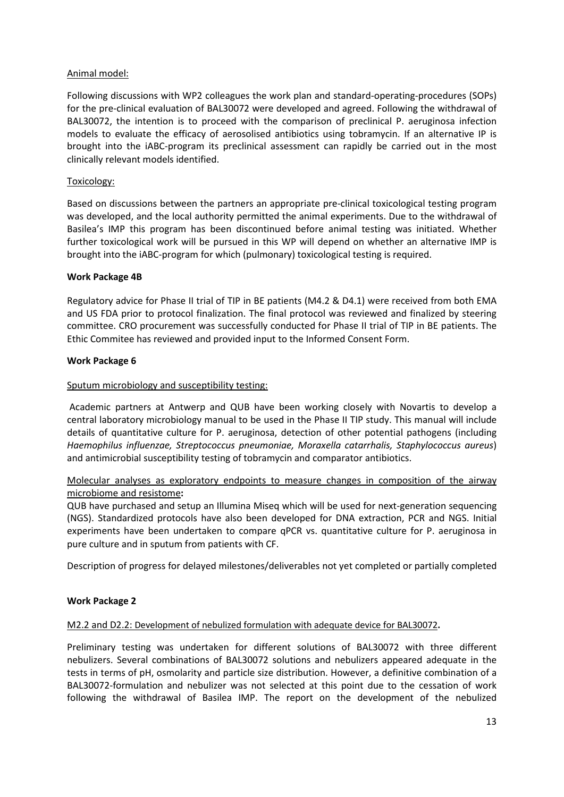## Animal model:

Following discussions with WP2 colleagues the work plan and standard-operating-procedures (SOPs) for the pre-clinical evaluation of BAL30072 were developed and agreed. Following the withdrawal of BAL30072, the intention is to proceed with the comparison of preclinical P. aeruginosa infection models to evaluate the efficacy of aerosolised antibiotics using tobramycin. If an alternative IP is brought into the iABC-program its preclinical assessment can rapidly be carried out in the most clinically relevant models identified.

## Toxicology:

Based on discussions between the partners an appropriate pre-clinical toxicological testing program was developed, and the local authority permitted the animal experiments. Due to the withdrawal of Basilea's IMP this program has been discontinued before animal testing was initiated. Whether further toxicological work will be pursued in this WP will depend on whether an alternative IMP is brought into the iABC-program for which (pulmonary) toxicological testing is required.

## **Work Package 4B**

Regulatory advice for Phase II trial of TIP in BE patients (M4.2 & D4.1) were received from both EMA and US FDA prior to protocol finalization. The final protocol was reviewed and finalized by steering committee. CRO procurement was successfully conducted for Phase II trial of TIP in BE patients. The Ethic Commitee has reviewed and provided input to the Informed Consent Form.

## **Work Package 6**

## Sputum microbiology and susceptibility testing:

Academic partners at Antwerp and QUB have been working closely with Novartis to develop a central laboratory microbiology manual to be used in the Phase II TIP study. This manual will include details of quantitative culture for P. aeruginosa, detection of other potential pathogens (including *Haemophilus influenzae, Streptococcus pneumoniae, Moraxella catarrhalis, Staphylococcus aureus*) and antimicrobial susceptibility testing of tobramycin and comparator antibiotics.

## Molecular analyses as exploratory endpoints to measure changes in composition of the airway microbiome and resistome**:**

QUB have purchased and setup an Illumina Miseq which will be used for next-generation sequencing (NGS). Standardized protocols have also been developed for DNA extraction, PCR and NGS. Initial experiments have been undertaken to compare qPCR vs. quantitative culture for P. aeruginosa in pure culture and in sputum from patients with CF.

Description of progress for delayed milestones/deliverables not yet completed or partially completed

## **Work Package 2**

#### M2.2 and D2.2: Development of nebulized formulation with adequate device for BAL30072**.**

Preliminary testing was undertaken for different solutions of BAL30072 with three different nebulizers. Several combinations of BAL30072 solutions and nebulizers appeared adequate in the tests in terms of pH, osmolarity and particle size distribution. However, a definitive combination of a BAL30072-formulation and nebulizer was not selected at this point due to the cessation of work following the withdrawal of Basilea IMP. The report on the development of the nebulized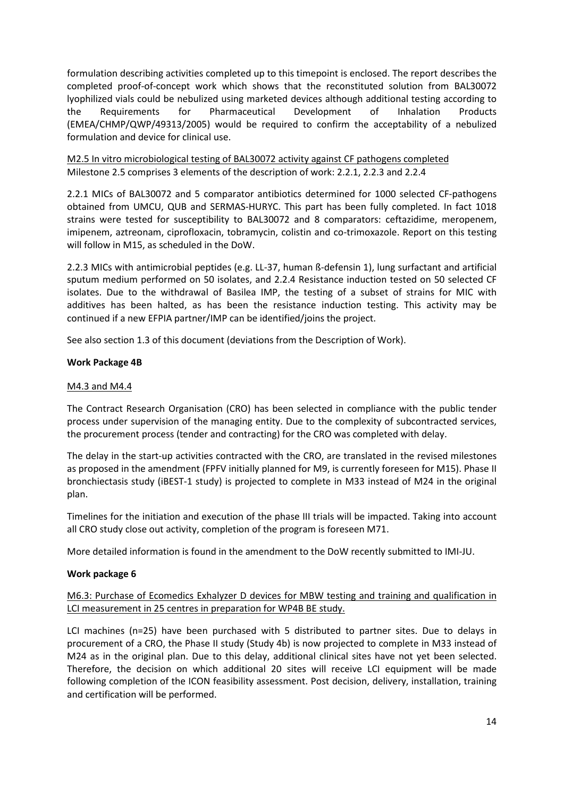formulation describing activities completed up to this timepoint is enclosed. The report describes the completed proof-of-concept work which shows that the reconstituted solution from BAL30072 lyophilized vials could be nebulized using marketed devices although additional testing according to the Requirements for Pharmaceutical Development of Inhalation Products (EMEA/CHMP/QWP/49313/2005) would be required to confirm the acceptability of a nebulized formulation and device for clinical use.

M2.5 In vitro microbiological testing of BAL30072 activity against CF pathogens completed Milestone 2.5 comprises 3 elements of the description of work: 2.2.1, 2.2.3 and 2.2.4

2.2.1 MICs of BAL30072 and 5 comparator antibiotics determined for 1000 selected CF-pathogens obtained from UMCU, QUB and SERMAS-HURYC. This part has been fully completed. In fact 1018 strains were tested for susceptibility to BAL30072 and 8 comparators: ceftazidime, meropenem, imipenem, aztreonam, ciprofloxacin, tobramycin, colistin and co-trimoxazole. Report on this testing will follow in M15, as scheduled in the DoW.

2.2.3 MICs with antimicrobial peptides (e.g. LL-37, human ß-defensin 1), lung surfactant and artificial sputum medium performed on 50 isolates, and 2.2.4 Resistance induction tested on 50 selected CF isolates. Due to the withdrawal of Basilea IMP, the testing of a subset of strains for MIC with additives has been halted, as has been the resistance induction testing. This activity may be continued if a new EFPIA partner/IMP can be identified/joins the project.

See also section 1.3 of this document (deviations from the Description of Work).

## **Work Package 4B**

#### M4.3 and M4.4

The Contract Research Organisation (CRO) has been selected in compliance with the public tender process under supervision of the managing entity. Due to the complexity of subcontracted services, the procurement process (tender and contracting) for the CRO was completed with delay.

The delay in the start-up activities contracted with the CRO, are translated in the revised milestones as proposed in the amendment (FPFV initially planned for M9, is currently foreseen for M15). Phase II bronchiectasis study (iBEST-1 study) is projected to complete in M33 instead of M24 in the original plan.

Timelines for the initiation and execution of the phase III trials will be impacted. Taking into account all CRO study close out activity, completion of the program is foreseen M71.

More detailed information is found in the amendment to the DoW recently submitted to IMI-JU.

#### **Work package 6**

## M6.3: Purchase of Ecomedics Exhalyzer D devices for MBW testing and training and qualification in LCI measurement in 25 centres in preparation for WP4B BE study.

LCI machines (n=25) have been purchased with 5 distributed to partner sites. Due to delays in procurement of a CRO, the Phase II study (Study 4b) is now projected to complete in M33 instead of M24 as in the original plan. Due to this delay, additional clinical sites have not yet been selected. Therefore, the decision on which additional 20 sites will receive LCI equipment will be made following completion of the ICON feasibility assessment. Post decision, delivery, installation, training and certification will be performed.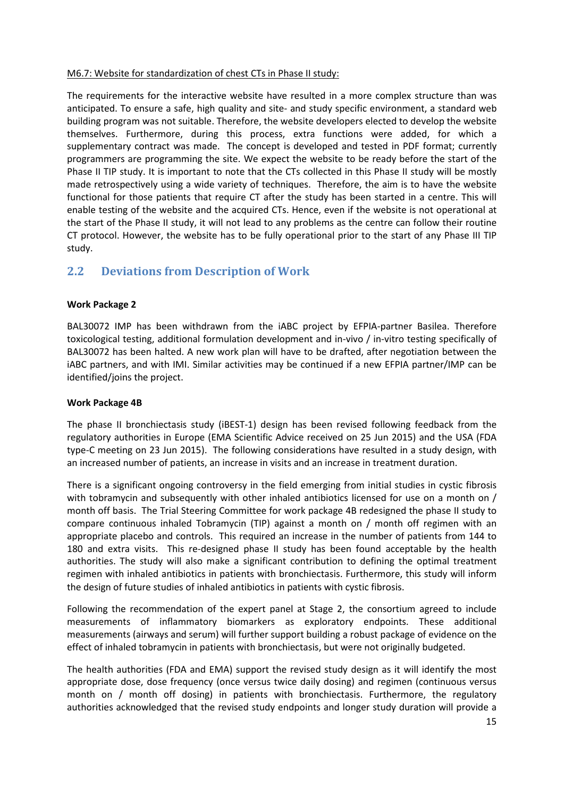#### M6.7: Website for standardization of chest CTs in Phase II study:

The requirements for the interactive website have resulted in a more complex structure than was anticipated. To ensure a safe, high quality and site- and study specific environment, a standard web building program was not suitable. Therefore, the website developers elected to develop the website themselves. Furthermore, during this process, extra functions were added, for which a supplementary contract was made. The concept is developed and tested in PDF format; currently programmers are programming the site. We expect the website to be ready before the start of the Phase II TIP study. It is important to note that the CTs collected in this Phase II study will be mostly made retrospectively using a wide variety of techniques. Therefore, the aim is to have the website functional for those patients that require CT after the study has been started in a centre. This will enable testing of the website and the acquired CTs. Hence, even if the website is not operational at the start of the Phase II study, it will not lead to any problems as the centre can follow their routine CT protocol. However, the website has to be fully operational prior to the start of any Phase III TIP study.

## <span id="page-14-0"></span>**2.2 Deviations from Description of Work**

## **Work Package 2**

BAL30072 IMP has been withdrawn from the iABC project by EFPIA-partner Basilea. Therefore toxicological testing, additional formulation development and in-vivo / in-vitro testing specifically of BAL30072 has been halted. A new work plan will have to be drafted, after negotiation between the iABC partners, and with IMI. Similar activities may be continued if a new EFPIA partner/IMP can be identified/joins the project.

#### **Work Package 4B**

The phase II bronchiectasis study (iBEST-1) design has been revised following feedback from the regulatory authorities in Europe (EMA Scientific Advice received on 25 Jun 2015) and the USA (FDA type-C meeting on 23 Jun 2015). The following considerations have resulted in a study design, with an increased number of patients, an increase in visits and an increase in treatment duration.

There is a significant ongoing controversy in the field emerging from initial studies in cystic fibrosis with tobramycin and subsequently with other inhaled antibiotics licensed for use on a month on / month off basis. The Trial Steering Committee for work package 4B redesigned the phase II study to compare continuous inhaled Tobramycin (TIP) against a month on / month off regimen with an appropriate placebo and controls. This required an increase in the number of patients from 144 to 180 and extra visits. This re-designed phase II study has been found acceptable by the health authorities. The study will also make a significant contribution to defining the optimal treatment regimen with inhaled antibiotics in patients with bronchiectasis. Furthermore, this study will inform the design of future studies of inhaled antibiotics in patients with cystic fibrosis.

Following the recommendation of the expert panel at Stage 2, the consortium agreed to include measurements of inflammatory biomarkers as exploratory endpoints. These additional measurements (airways and serum) will further support building a robust package of evidence on the effect of inhaled tobramycin in patients with bronchiectasis, but were not originally budgeted.

The health authorities (FDA and EMA) support the revised study design as it will identify the most appropriate dose, dose frequency (once versus twice daily dosing) and regimen (continuous versus month on / month off dosing) in patients with bronchiectasis. Furthermore, the regulatory authorities acknowledged that the revised study endpoints and longer study duration will provide a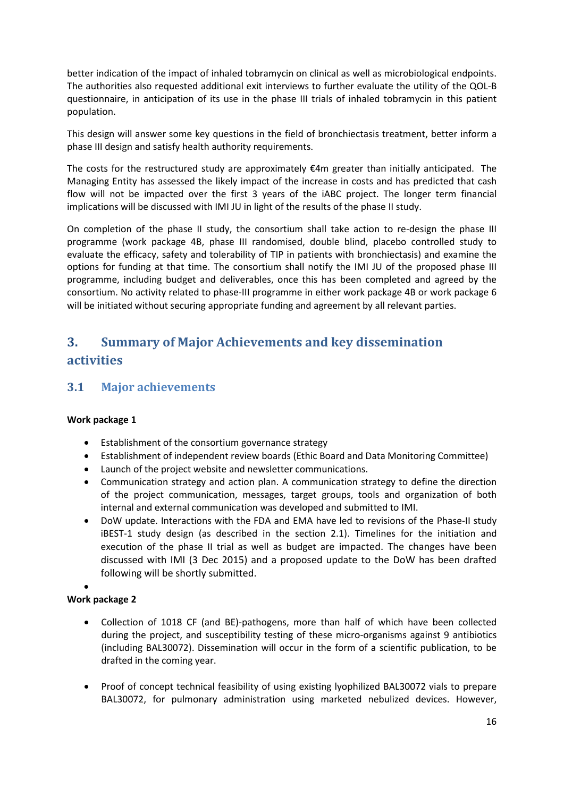better indication of the impact of inhaled tobramycin on clinical as well as microbiological endpoints. The authorities also requested additional exit interviews to further evaluate the utility of the QOL-B questionnaire, in anticipation of its use in the phase III trials of inhaled tobramycin in this patient population.

This design will answer some key questions in the field of bronchiectasis treatment, better inform a phase III design and satisfy health authority requirements.

The costs for the restructured study are approximately  $\epsilon$ 4m greater than initially anticipated. The Managing Entity has assessed the likely impact of the increase in costs and has predicted that cash flow will not be impacted over the first 3 years of the iABC project. The longer term financial implications will be discussed with IMI JU in light of the results of the phase II study.

On completion of the phase II study, the consortium shall take action to re-design the phase III programme (work package 4B, phase III randomised, double blind, placebo controlled study to evaluate the efficacy, safety and tolerability of TIP in patients with bronchiectasis) and examine the options for funding at that time. The consortium shall notify the IMI JU of the proposed phase III programme, including budget and deliverables, once this has been completed and agreed by the consortium. No activity related to phase-III programme in either work package 4B or work package 6 will be initiated without securing appropriate funding and agreement by all relevant parties.

# <span id="page-15-0"></span>**3. Summary of Major Achievements and key dissemination activities**

## <span id="page-15-1"></span>**3.1 Major achievements**

## **Work package 1**

- Establishment of the consortium governance strategy
- Establishment of independent review boards (Ethic Board and Data Monitoring Committee)
- Launch of the project website and newsletter communications.
- Communication strategy and action plan. A communication strategy to define the direction of the project communication, messages, target groups, tools and organization of both internal and external communication was developed and submitted to IMI.
- DoW update. Interactions with the FDA and EMA have led to revisions of the Phase-II study iBEST-1 study design (as described in the section 2.1). Timelines for the initiation and execution of the phase II trial as well as budget are impacted. The changes have been discussed with IMI (3 Dec 2015) and a proposed update to the DoW has been drafted following will be shortly submitted.

#### • **Work package 2**

- Collection of 1018 CF (and BE)-pathogens, more than half of which have been collected during the project, and susceptibility testing of these micro-organisms against 9 antibiotics (including BAL30072). Dissemination will occur in the form of a scientific publication, to be drafted in the coming year.
- Proof of concept technical feasibility of using existing lyophilized BAL30072 vials to prepare BAL30072, for pulmonary administration using marketed nebulized devices. However,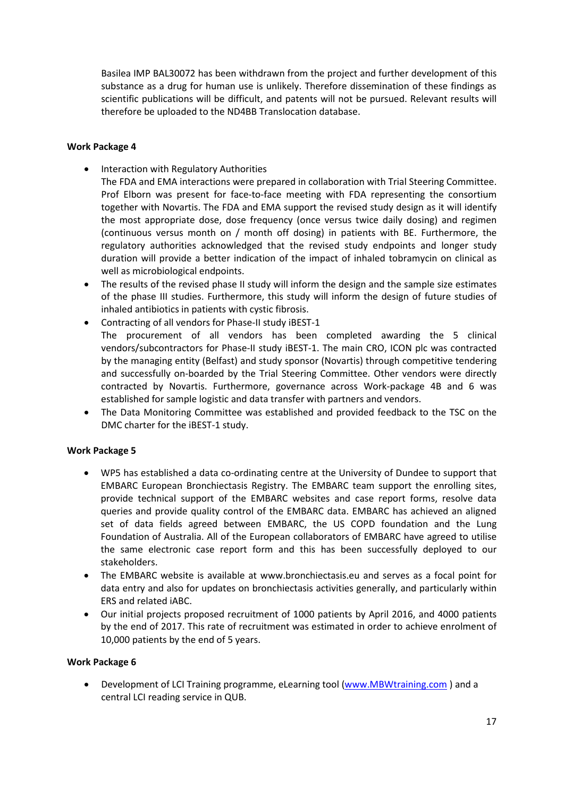Basilea IMP BAL30072 has been withdrawn from the project and further development of this substance as a drug for human use is unlikely. Therefore dissemination of these findings as scientific publications will be difficult, and patents will not be pursued. Relevant results will therefore be uploaded to the ND4BB Translocation database.

#### **Work Package 4**

- Interaction with Regulatory Authorities
	- The FDA and EMA interactions were prepared in collaboration with Trial Steering Committee. Prof Elborn was present for face-to-face meeting with FDA representing the consortium together with Novartis. The FDA and EMA support the revised study design as it will identify the most appropriate dose, dose frequency (once versus twice daily dosing) and regimen (continuous versus month on / month off dosing) in patients with BE. Furthermore, the regulatory authorities acknowledged that the revised study endpoints and longer study duration will provide a better indication of the impact of inhaled tobramycin on clinical as well as microbiological endpoints.
- The results of the revised phase II study will inform the design and the sample size estimates of the phase III studies. Furthermore, this study will inform the design of future studies of inhaled antibiotics in patients with cystic fibrosis.
- Contracting of all vendors for Phase-II study iBEST-1 The procurement of all vendors has been completed awarding the 5 clinical vendors/subcontractors for Phase-II study iBEST-1. The main CRO, ICON plc was contracted by the managing entity (Belfast) and study sponsor (Novartis) through competitive tendering and successfully on-boarded by the Trial Steering Committee. Other vendors were directly contracted by Novartis. Furthermore, governance across Work-package 4B and 6 was established for sample logistic and data transfer with partners and vendors.
- The Data Monitoring Committee was established and provided feedback to the TSC on the DMC charter for the iBEST-1 study.

## **Work Package 5**

- WP5 has established a data co-ordinating centre at the University of Dundee to support that EMBARC European Bronchiectasis Registry. The EMBARC team support the enrolling sites, provide technical support of the EMBARC websites and case report forms, resolve data queries and provide quality control of the EMBARC data. EMBARC has achieved an aligned set of data fields agreed between EMBARC, the US COPD foundation and the Lung Foundation of Australia. All of the European collaborators of EMBARC have agreed to utilise the same electronic case report form and this has been successfully deployed to our stakeholders.
- The EMBARC website is available at [www.bronchiectasis.eu](http://www.bronchiectasis.eu/) and serves as a focal point for data entry and also for updates on bronchiectasis activities generally, and particularly within ERS and related iABC.
- Our initial projects proposed recruitment of 1000 patients by April 2016, and 4000 patients by the end of 2017. This rate of recruitment was estimated in order to achieve enrolment of 10,000 patients by the end of 5 years.

#### **Work Package 6**

• Development of LCI Training programme, eLearning tool [\(www.MBWtraining.com](http://www.mbwtraining.com/) ) and a central LCI reading service in QUB.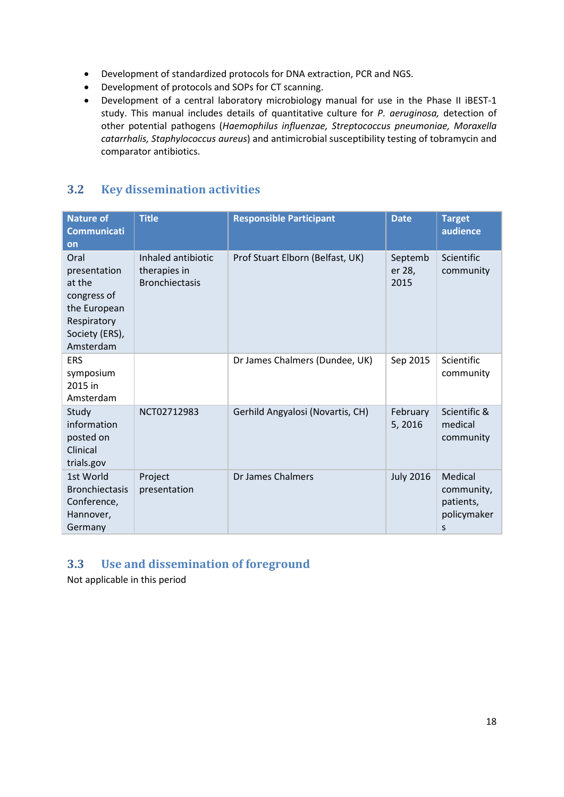- Development of standardized protocols for DNA extraction, PCR and NGS.
- Development of protocols and SOPs for CT scanning.
- Development of a central laboratory microbiology manual for use in the Phase II iBEST-1 study. This manual includes details of quantitative culture for *P. aeruginosa,* detection of other potential pathogens (*Haemophilus influenzae, Streptococcus pneumoniae, Moraxella catarrhalis, Staphylococcus aureus*) and antimicrobial susceptibility testing of tobramycin and comparator antibiotics.

## <span id="page-17-0"></span>**3.2 Key dissemination activities**

| <b>Nature of</b><br><b>Communicati</b><br>on                                                                | <b>Title</b>                                                | <b>Responsible Participant</b>   | <b>Date</b>               | <b>Target</b><br>audience                              |
|-------------------------------------------------------------------------------------------------------------|-------------------------------------------------------------|----------------------------------|---------------------------|--------------------------------------------------------|
| Oral<br>presentation<br>at the<br>congress of<br>the European<br>Respiratory<br>Society (ERS),<br>Amsterdam | Inhaled antibiotic<br>therapies in<br><b>Bronchiectasis</b> | Prof Stuart Elborn (Belfast, UK) | Septemb<br>er 28,<br>2015 | <b>Scientific</b><br>community                         |
| <b>ERS</b><br>symposium<br>2015 in<br>Amsterdam                                                             |                                                             | Dr James Chalmers (Dundee, UK)   | Sep 2015                  | Scientific<br>community                                |
| Study<br>information<br>posted on<br>Clinical<br>trials.gov                                                 | NCT02712983                                                 | Gerhild Angyalosi (Novartis, CH) | February<br>5,2016        | Scientific &<br>medical<br>community                   |
| 1st World<br><b>Bronchiectasis</b><br>Conference,<br>Hannover,<br>Germany                                   | Project<br>presentation                                     | Dr James Chalmers                | <b>July 2016</b>          | Medical<br>community,<br>patients,<br>policymaker<br>S |

## <span id="page-17-1"></span>**3.3 Use and dissemination of foreground**

Not applicable in this period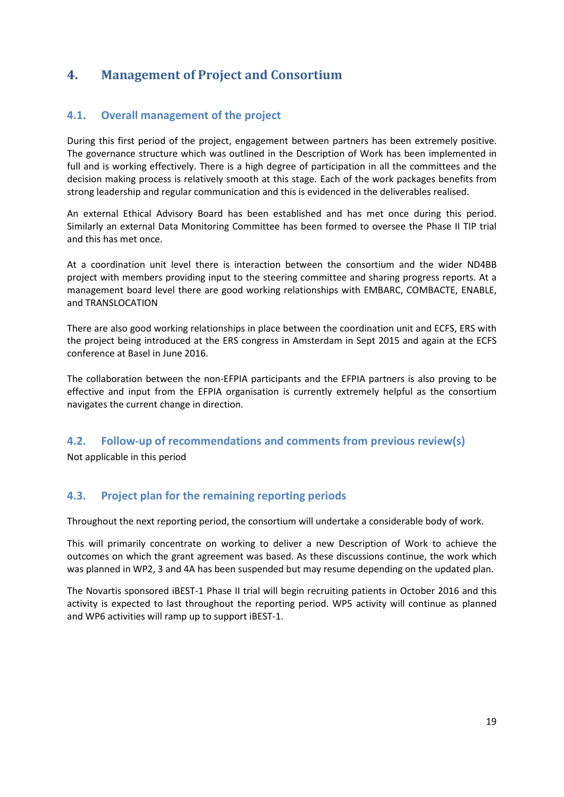## <span id="page-18-1"></span><span id="page-18-0"></span>**4. Management of Project and Consortium**

## **4.1. Overall management of the project**

During this first period of the project, engagement between partners has been extremely positive. The governance structure which was outlined in the Description of Work has been implemented in full and is working effectively. There is a high degree of participation in all the committees and the decision making process is relatively smooth at this stage. Each of the work packages benefits from strong leadership and regular communication and this is evidenced in the deliverables realised.

An external Ethical Advisory Board has been established and has met once during this period. Similarly an external Data Monitoring Committee has been formed to oversee the Phase II TIP trial and this has met once.

At a coordination unit level there is interaction between the consortium and the wider ND4BB project with members providing input to the steering committee and sharing progress reports. At a management board level there are good working relationships with EMBARC, COMBACTE, ENABLE, and TRANSLOCATION

There are also good working relationships in place between the coordination unit and ECFS, ERS with the project being introduced at the ERS congress in Amsterdam in Sept 2015 and again at the ECFS conference at Basel in June 2016.

The collaboration between the non-EFPIA participants and the EFPIA partners is also proving to be effective and input from the EFPIA organisation is currently extremely helpful as the consortium navigates the current change in direction.

## <span id="page-18-2"></span>**4.2. Follow-up of recommendations and comments from previous review(s)**

Not applicable in this period

## <span id="page-18-3"></span>**4.3. Project plan for the remaining reporting periods**

Throughout the next reporting period, the consortium will undertake a considerable body of work.

This will primarily concentrate on working to deliver a new Description of Work to achieve the outcomes on which the grant agreement was based. As these discussions continue, the work which was planned in WP2, 3 and 4A has been suspended but may resume depending on the updated plan.

The Novartis sponsored iBEST-1 Phase II trial will begin recruiting patients in October 2016 and this activity is expected to last throughout the reporting period. WP5 activity will continue as planned and WP6 activities will ramp up to support iBEST-1.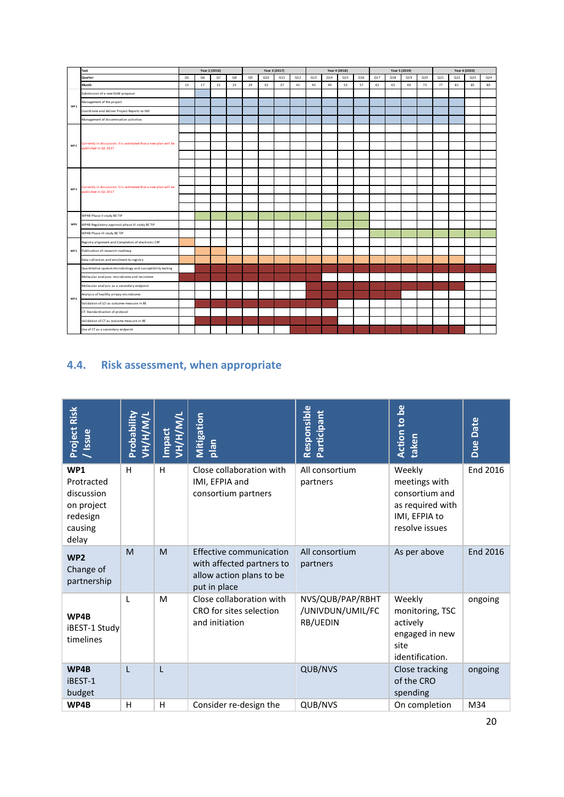|                 | Task                                                                                     |    |    | Year 2 (2016) |    |    |     | Year 3 (2017) |     |     |     | Year 4 (2018) |     |     |     | Year 5 (2019) |     |     | Year 6 (2020) |     |     |
|-----------------|------------------------------------------------------------------------------------------|----|----|---------------|----|----|-----|---------------|-----|-----|-----|---------------|-----|-----|-----|---------------|-----|-----|---------------|-----|-----|
|                 | Quarter                                                                                  | Q5 | Q6 | Q7            | Q8 | Q9 | Q10 | Q11           | Q12 | Q13 | Q14 | Q15           | Q16 | Q17 | Q18 | Q19           | Q20 | Q21 | Q22           | Q23 | Q24 |
|                 | Month                                                                                    | 13 | 17 | 21            | 25 | 29 | 33  | 37            | 41  | 45  | 49  | 53            | 57  | 61  | 65  | 69            | 73  | 77  | 81            | 85  | 89  |
|                 | Submission of a new DoW proposal                                                         |    |    |               |    |    |     |               |     |     |     |               |     |     |     |               |     |     |               |     |     |
| WP1             | Management of the project                                                                |    |    |               |    |    |     |               |     |     |     |               |     |     |     |               |     |     |               |     |     |
|                 | Coordinate and deliver Project Reports to IMI                                            |    |    |               |    |    |     |               |     |     |     |               |     |     |     |               |     |     |               |     |     |
|                 | Management of dissemination activities                                                   |    |    |               |    |    |     |               |     |     |     |               |     |     |     |               |     |     |               |     |     |
|                 |                                                                                          |    |    |               |    |    |     |               |     |     |     |               |     |     |     |               |     |     |               |     |     |
|                 |                                                                                          |    |    |               |    |    |     |               |     |     |     |               |     |     |     |               |     |     |               |     |     |
| WP <sub>2</sub> | Currently in discussion. It is estimated that a new plan will be<br>published in Q1 2017 |    |    |               |    |    |     |               |     |     |     |               |     |     |     |               |     |     |               |     |     |
|                 |                                                                                          |    |    |               |    |    |     |               |     |     |     |               |     |     |     |               |     |     |               |     |     |
|                 |                                                                                          |    |    |               |    |    |     |               |     |     |     |               |     |     |     |               |     |     |               |     |     |
|                 |                                                                                          |    |    |               |    |    |     |               |     |     |     |               |     |     |     |               |     |     |               |     |     |
|                 | Currently in discussion. It is estimated that a new plan will be<br>published in Q1 2017 |    |    |               |    |    |     |               |     |     |     |               |     |     |     |               |     |     |               |     |     |
| WP <sub>3</sub> |                                                                                          |    |    |               |    |    |     |               |     |     |     |               |     |     |     |               |     |     |               |     |     |
|                 |                                                                                          |    |    |               |    |    |     |               |     |     |     |               |     |     |     |               |     |     |               |     |     |
|                 |                                                                                          |    |    |               |    |    |     |               |     |     |     |               |     |     |     |               |     |     |               |     |     |
|                 | WP4B Phase II study BE TIP                                                               |    |    |               |    |    |     |               |     |     |     |               |     |     |     |               |     |     |               |     |     |
| WP4             | WP4B Regulatory approval phase III study BE TIP                                          |    |    |               |    |    |     |               |     |     |     |               |     |     |     |               |     |     |               |     |     |
|                 | WP4B Phase III study BE TIP                                                              |    |    |               |    |    |     |               |     |     |     |               |     |     |     |               |     |     |               |     |     |
|                 | Registry alignment and Completion of electronic CRF                                      |    |    |               |    |    |     |               |     |     |     |               |     |     |     |               |     |     |               |     |     |
| WP 5            | Publication of research roadmap                                                          |    |    |               |    |    |     |               |     |     |     |               |     |     |     |               |     |     |               |     |     |
|                 | Data collection and enrolment to registry                                                |    |    |               |    |    |     |               |     |     |     |               |     |     |     |               |     |     |               |     |     |
|                 | Quantitative sputum microbiology and susceptibility testing                              |    |    |               |    |    |     |               |     |     |     |               |     |     |     |               |     |     |               |     |     |
|                 | Molecular analyses: microbiome and resistome                                             |    |    |               |    |    |     |               |     |     |     |               |     |     |     |               |     |     |               |     |     |
|                 | Molecular analysis as a secondary endpoint                                               |    |    |               |    |    |     |               |     |     |     |               |     |     |     |               |     |     |               |     |     |
| WP 6            | Analysis of healthy airway microbiome                                                    |    |    |               |    |    |     |               |     |     |     |               |     |     |     |               |     |     |               |     |     |
|                 | Validation of LCI as outcome measure in BE                                               |    |    |               |    |    |     |               |     |     |     |               |     |     |     |               |     |     |               |     |     |
|                 | CT: Standardization of protocol                                                          |    |    |               |    |    |     |               |     |     |     |               |     |     |     |               |     |     |               |     |     |
|                 | Validation of CT as outcome measure in BE                                                |    |    |               |    |    |     |               |     |     |     |               |     |     |     |               |     |     |               |     |     |
|                 | Use of CT as a secondary endpoint                                                        |    |    |               |    |    |     |               |     |     |     |               |     |     |     |               |     |     |               |     |     |

# <span id="page-19-0"></span>**4.4. Risk assessment, when appropriate**

| Project Risk<br>Issue                                                         | <b>Probability</b><br>ли/н/н/и | <b>VH/H/M/</b><br><b>Impact</b> | Mitigation<br>nalq                                                                                      | Responsible<br>Participant                       | ്മ<br><b>Action to</b><br>taken                                                                  | <b>Due Date</b> |
|-------------------------------------------------------------------------------|--------------------------------|---------------------------------|---------------------------------------------------------------------------------------------------------|--------------------------------------------------|--------------------------------------------------------------------------------------------------|-----------------|
| WP1<br>Protracted<br>discussion<br>on project<br>redesign<br>causing<br>delay | H                              | H                               | Close collaboration with<br>IMI, EFPIA and<br>consortium partners                                       | All consortium<br>partners                       | Weekly<br>meetings with<br>consortium and<br>as required with<br>IMI, EFPIA to<br>resolve issues | End 2016        |
| WP <sub>2</sub><br>Change of<br>partnership                                   | M                              | M                               | <b>Effective communication</b><br>with affected partners to<br>allow action plans to be<br>put in place | All consortium<br>partners                       | As per above                                                                                     | <b>End 2016</b> |
| WP4B<br>iBEST-1 Study<br>timelines                                            | L                              | M                               | Close collaboration with<br>CRO for sites selection<br>and initiation                                   | NVS/QUB/PAP/RBHT<br>/UNIVDUN/UMIL/FC<br>RB/UEDIN | Weekly<br>monitoring, TSC<br>actively<br>engaged in new<br>site<br>identification.               | ongoing         |
| WP4B<br>iBEST-1<br>budget                                                     | L                              | L                               |                                                                                                         | QUB/NVS                                          | Close tracking<br>of the CRO<br>spending                                                         | ongoing         |
| WP4B                                                                          | н                              | H                               | Consider re-design the                                                                                  | QUB/NVS                                          | On completion                                                                                    | M34             |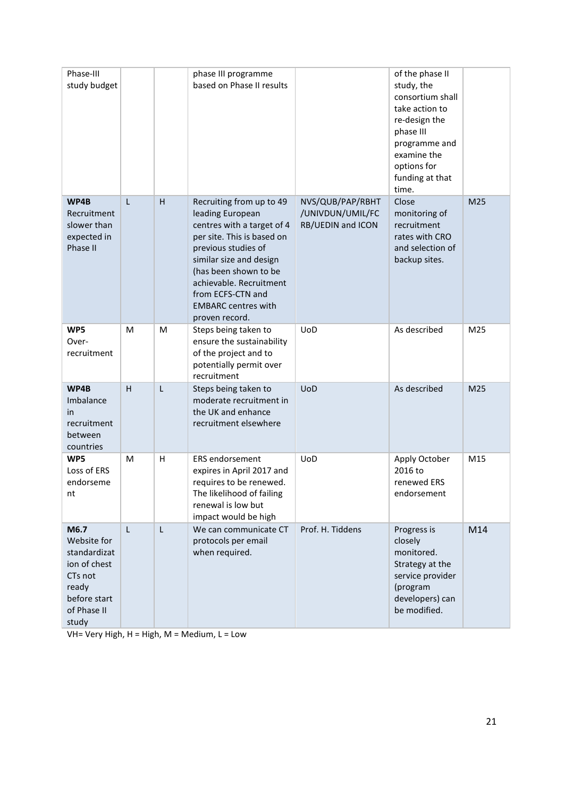| Phase-III<br>study budget                                                                                       |                         |   | phase III programme<br>based on Phase II results                                                                                                                                                                                                                                    |                                                           | of the phase II<br>study, the<br>consortium shall<br>take action to<br>re-design the<br>phase III<br>programme and<br>examine the<br>options for<br>funding at that<br>time. |     |
|-----------------------------------------------------------------------------------------------------------------|-------------------------|---|-------------------------------------------------------------------------------------------------------------------------------------------------------------------------------------------------------------------------------------------------------------------------------------|-----------------------------------------------------------|------------------------------------------------------------------------------------------------------------------------------------------------------------------------------|-----|
| WP4B<br>Recruitment<br>slower than<br>expected in<br>Phase II                                                   | L                       | H | Recruiting from up to 49<br>leading European<br>centres with a target of 4<br>per site. This is based on<br>previous studies of<br>similar size and design<br>(has been shown to be<br>achievable. Recruitment<br>from ECFS-CTN and<br><b>EMBARC centres with</b><br>proven record. | NVS/QUB/PAP/RBHT<br>/UNIVDUN/UMIL/FC<br>RB/UEDIN and ICON | Close<br>monitoring of<br>recruitment<br>rates with CRO<br>and selection of<br>backup sites.                                                                                 | M25 |
| WP5<br>Over-<br>recruitment                                                                                     | M                       | M | Steps being taken to<br>ensure the sustainability<br>of the project and to<br>potentially permit over<br>recruitment                                                                                                                                                                | <b>UoD</b>                                                | As described                                                                                                                                                                 | M25 |
| WP4B<br>Imbalance<br><i>in</i><br>recruitment<br>between<br>countries                                           | $\overline{\mathsf{H}}$ | L | Steps being taken to<br>moderate recruitment in<br>the UK and enhance<br>recruitment elsewhere                                                                                                                                                                                      | <b>UoD</b>                                                | As described                                                                                                                                                                 | M25 |
| WP5<br>Loss of ERS<br>endorseme<br>nt                                                                           | м                       | H | <b>ERS</b> endorsement<br>expires in April 2017 and<br>requires to be renewed.<br>The likelihood of failing<br>renewal is low but<br>impact would be high                                                                                                                           | UoD                                                       | Apply October<br>2016 to<br>renewed ERS<br>endorsement                                                                                                                       | M15 |
| M6.7<br>Website for<br>standardizat<br>ion of chest<br>CTs not<br>ready<br>before start<br>of Phase II<br>study | L                       | L | We can communicate CT<br>protocols per email<br>when required.                                                                                                                                                                                                                      | Prof. H. Tiddens                                          | Progress is<br>closely<br>monitored.<br>Strategy at the<br>service provider<br>(program<br>developers) can<br>be modified.                                                   | M14 |

VH= Very High, H = High, M = Medium, L = Low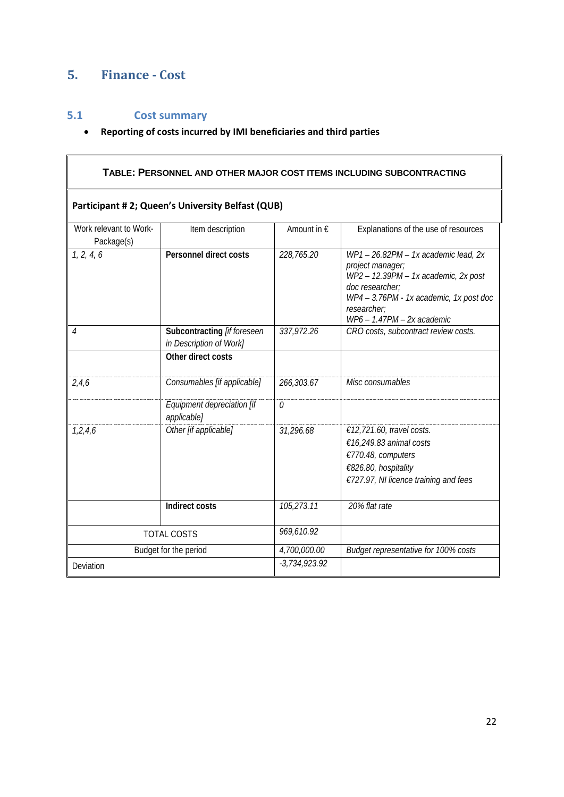# <span id="page-21-1"></span><span id="page-21-0"></span>**5. Finance - Cost**

# **5.1 Cost summary**

## • **Reporting of costs incurred by IMI beneficiaries and third parties**

|                                                        |              | TABLE: PERSONNEL AND OTHER MAJOR COST ITEMS INCLUDING SUBCONTRACTING                                                                                                                                    |
|--------------------------------------------------------|--------------|---------------------------------------------------------------------------------------------------------------------------------------------------------------------------------------------------------|
|                                                        |              |                                                                                                                                                                                                         |
| Item description                                       | Amount in €  | Explanations of the use of resources                                                                                                                                                                    |
| <b>Personnel direct costs</b>                          | 228,765.20   | WP1-26.82PM-1x academic lead, 2x<br>project manager;<br>WP2 - 12.39PM - 1x academic, 2x post<br>doc researcher;<br>WP4 - 3.76PM - 1x academic, 1x post doc<br>researcher;<br>WP6 - 1.47PM - 2x academic |
| Subcontracting [if foreseen<br>in Description of Work] | 337,972.26   | CRO costs, subcontract review costs.                                                                                                                                                                    |
| Other direct costs                                     |              |                                                                                                                                                                                                         |
| Consumables [if applicable]                            | 266,303.67   | Misc consumables                                                                                                                                                                                        |
| Equipment depreciation [if<br>applicable]              | 0            |                                                                                                                                                                                                         |
| Other [if applicable]                                  | 31,296.68    | €12,721.60, travel costs.<br>€16,249.83 animal costs<br>€770.48, computers<br>€826.80, hospitality<br>€727.97, NI licence training and fees                                                             |
| <b>Indirect costs</b>                                  | 105,273.11   | 20% flat rate                                                                                                                                                                                           |
| <b>TOTAL COSTS</b>                                     | 969,610.92   |                                                                                                                                                                                                         |
| Budget for the period                                  | 4,700,000.00 | Budget representative for 100% costs                                                                                                                                                                    |
|                                                        |              | Participant #2; Queen's University Belfast (QUB)<br>$-3,734,923.92$                                                                                                                                     |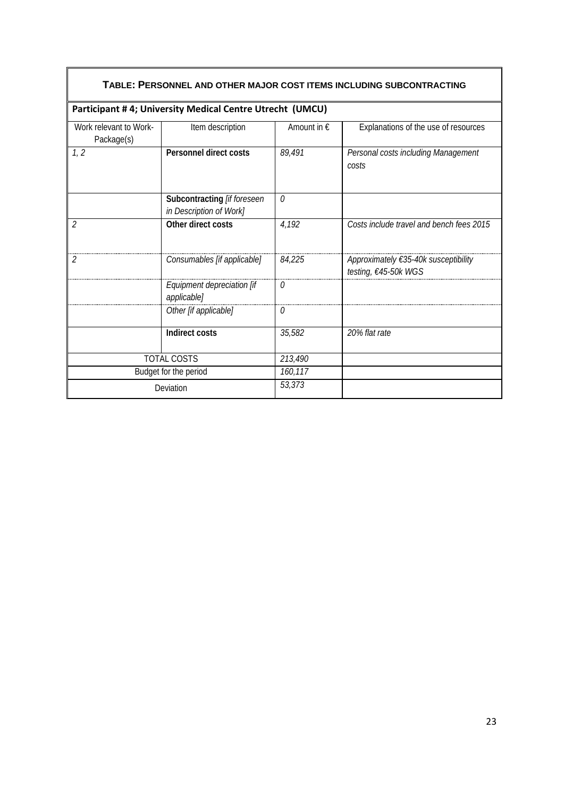|                                      | Participant #4; University Medical Centre Utrecht (UMCU) |                      |                                                              |
|--------------------------------------|----------------------------------------------------------|----------------------|--------------------------------------------------------------|
| Work relevant to Work-<br>Package(s) | Item description                                         | Amount in $\epsilon$ | Explanations of the use of resources                         |
| 1, 2                                 | <b>Personnel direct costs</b>                            | 89,491               | Personal costs including Management<br>costs                 |
|                                      | Subcontracting [if foreseen<br>in Description of Work]   | $\Omega$             |                                                              |
| $\overline{2}$                       | Other direct costs                                       | 4,192                | Costs include travel and bench fees 2015                     |
| $\overline{2}$                       | Consumables [if applicable]                              | 84,225               | Approximately €35-40k susceptibility<br>testing, €45-50k WGS |
|                                      | Equipment depreciation [if<br>applicable]                | 0                    |                                                              |
|                                      | Other [if applicable]                                    | 0                    |                                                              |
|                                      | Indirect costs                                           | 35,582               | 20% flat rate                                                |
|                                      | TOTAL COSTS                                              | 213,490              |                                                              |
|                                      | Budget for the period                                    | 160,117              |                                                              |
| Deviation                            |                                                          | 53,373               |                                                              |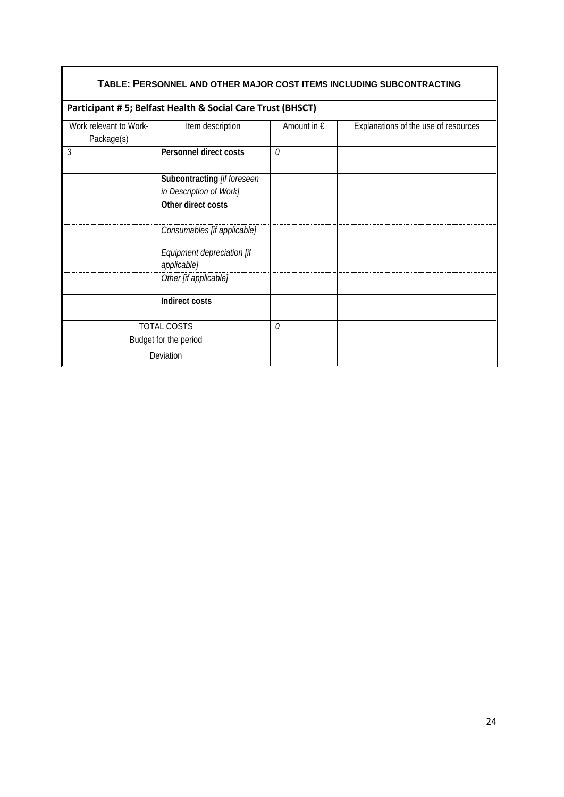| TABLE: PERSONNEL AND OTHER MAJOR COST ITEMS INCLUDING SUBCONTRACTING |                                                            |                      |                                      |  |
|----------------------------------------------------------------------|------------------------------------------------------------|----------------------|--------------------------------------|--|
|                                                                      | Participant #5; Belfast Health & Social Care Trust (BHSCT) |                      |                                      |  |
| Work relevant to Work-<br>Package(s)                                 | Item description                                           | Amount in $\epsilon$ | Explanations of the use of resources |  |
| $\mathfrak{Z}$                                                       | Personnel direct costs                                     | $\theta$             |                                      |  |
|                                                                      | Subcontracting [if foreseen                                |                      |                                      |  |
|                                                                      | in Description of Work]                                    |                      |                                      |  |
|                                                                      | Other direct costs                                         |                      |                                      |  |
|                                                                      | Consumables [if applicable]                                |                      |                                      |  |
|                                                                      | Equipment depreciation [if<br>applicable]                  |                      |                                      |  |
|                                                                      | Other [if applicable]                                      |                      |                                      |  |
|                                                                      | <b>Indirect costs</b>                                      |                      |                                      |  |
|                                                                      | <b>TOTAL COSTS</b>                                         | 0                    |                                      |  |
|                                                                      | Budget for the period                                      |                      |                                      |  |
|                                                                      | Deviation                                                  |                      |                                      |  |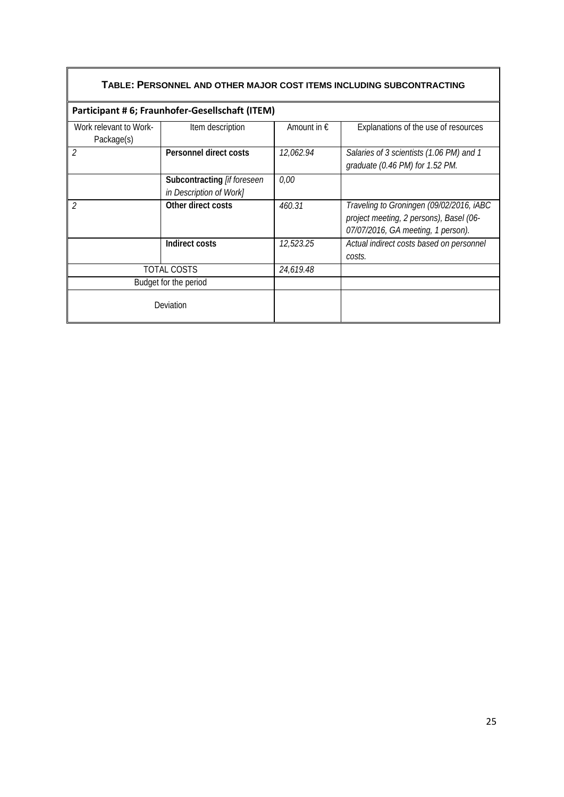| TABLE: PERSONNEL AND OTHER MAJOR COST ITEMS INCLUDING SUBCONTRACTING |                                                         |                      |                                                                                                                           |  |
|----------------------------------------------------------------------|---------------------------------------------------------|----------------------|---------------------------------------------------------------------------------------------------------------------------|--|
|                                                                      | Participant #6; Fraunhofer-Gesellschaft (ITEM)          |                      |                                                                                                                           |  |
| Work relevant to Work-<br>Package(s)                                 | Item description                                        | Amount in $\epsilon$ | Explanations of the use of resources                                                                                      |  |
| $\overline{2}$                                                       | Personnel direct costs                                  | 12,062.94            | Salaries of 3 scientists (1.06 PM) and 1<br>graduate (0.46 PM) for 1.52 PM.                                               |  |
|                                                                      | Subcontracting [if foreseen]<br>in Description of Work] | 0,00                 |                                                                                                                           |  |
| 2                                                                    | Other direct costs                                      | 460.31               | Traveling to Groningen (09/02/2016, iABC<br>project meeting, 2 persons), Basel (06-<br>07/07/2016, GA meeting, 1 person). |  |
|                                                                      | Indirect costs                                          | 12,523.25            | Actual indirect costs based on personnel<br>costs.                                                                        |  |
| <b>TOTAL COSTS</b>                                                   |                                                         | 24,619.48            |                                                                                                                           |  |
| Budget for the period                                                |                                                         |                      |                                                                                                                           |  |
| Deviation                                                            |                                                         |                      |                                                                                                                           |  |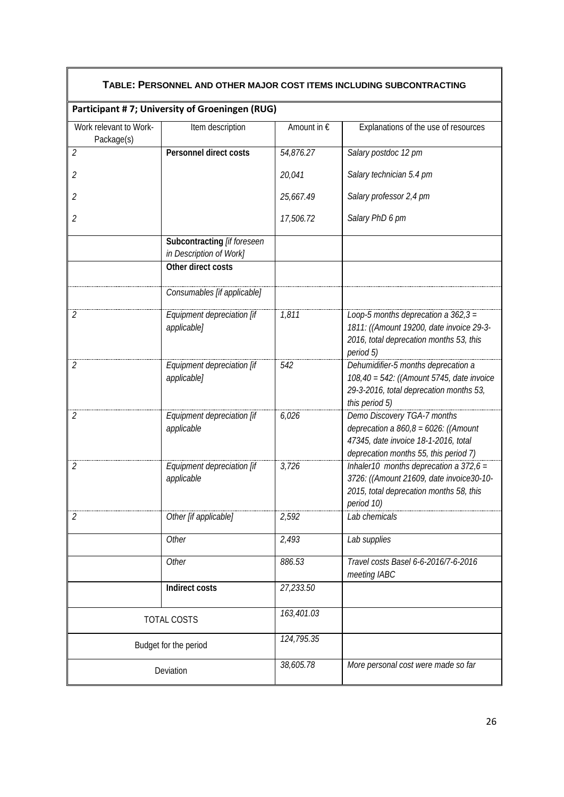| TABLE: PERSONNEL AND OTHER MAJOR COST ITEMS INCLUDING SUBCONTRACTING |                                                        |             |                                                                                                                                                         |  |
|----------------------------------------------------------------------|--------------------------------------------------------|-------------|---------------------------------------------------------------------------------------------------------------------------------------------------------|--|
|                                                                      | Participant #7; University of Groeningen (RUG)         |             |                                                                                                                                                         |  |
| Work relevant to Work-<br>Package(s)                                 | Item description                                       | Amount in € | Explanations of the use of resources                                                                                                                    |  |
| $\overline{2}$                                                       | Personnel direct costs                                 | 54,876.27   | Salary postdoc 12 pm                                                                                                                                    |  |
| 2                                                                    |                                                        | 20,041      | Salary technician 5.4 pm                                                                                                                                |  |
| 2                                                                    |                                                        | 25,667.49   | Salary professor 2,4 pm                                                                                                                                 |  |
| 2                                                                    |                                                        | 17,506.72   | Salary PhD 6 pm                                                                                                                                         |  |
|                                                                      | Subcontracting [if foreseen<br>in Description of Work] |             |                                                                                                                                                         |  |
|                                                                      | Other direct costs                                     |             |                                                                                                                                                         |  |
|                                                                      | Consumables [if applicable]                            |             |                                                                                                                                                         |  |
| $\mathfrak{2}$                                                       | Equipment depreciation [if<br>applicable]              | 1,811       | Loop-5 months deprecation a $362.3 =$<br>1811: ((Amount 19200, date invoice 29-3-<br>2016, total deprecation months 53, this<br>period 5)               |  |
| 2                                                                    | Equipment depreciation [if<br>applicable]              | 542         | Dehumidifier-5 months deprecation a<br>108,40 = 542: ((Amount 5745, date invoice<br>29-3-2016, total deprecation months 53,<br>this period 5)           |  |
| $\overline{2}$                                                       | Equipment depreciation [if<br>applicable               | 6,026       | Demo Discovery TGA-7 months<br>deprecation a $860,8 = 6026$ : ((Amount<br>47345, date invoice 18-1-2016, total<br>deprecation months 55, this period 7) |  |
| $\overline{2}$                                                       | Equipment depreciation [if<br>applicable               | 3,726       | Inhaler10 months deprecation a $372,6 =$<br>3726: ((Amount 21609, date invoice30-10-<br>2015, total deprecation months 58, this<br>period 10)           |  |
| $\overline{2}$                                                       | Other [if applicable]                                  | 2,592       | Lab chemicals                                                                                                                                           |  |
|                                                                      | Other                                                  | 2,493       | Lab supplies                                                                                                                                            |  |
|                                                                      | Other                                                  | 886.53      | Travel costs Basel 6-6-2016/7-6-2016<br>meeting IABC                                                                                                    |  |
|                                                                      | Indirect costs                                         | 27,233.50   |                                                                                                                                                         |  |
| TOTAL COSTS                                                          |                                                        | 163,401.03  |                                                                                                                                                         |  |
|                                                                      | Budget for the period                                  | 124,795.35  |                                                                                                                                                         |  |
|                                                                      | Deviation                                              | 38,605.78   | More personal cost were made so far                                                                                                                     |  |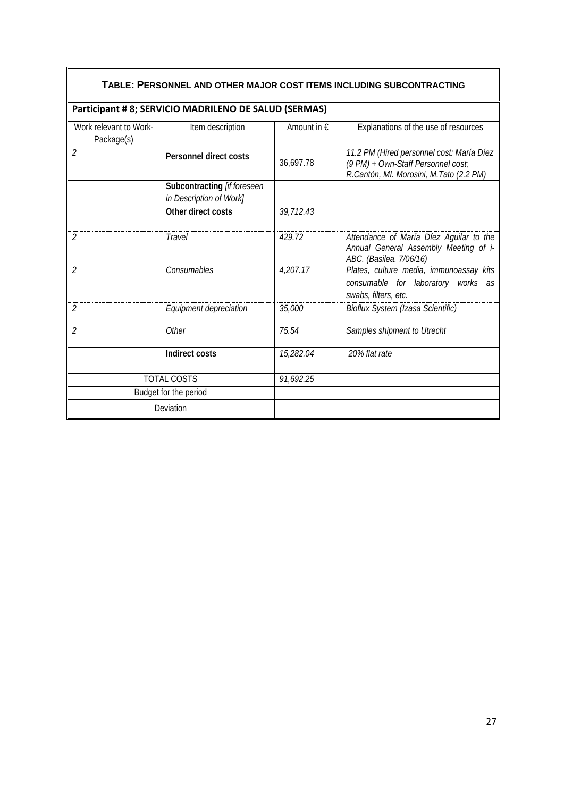| TABLE: PERSONNEL AND OTHER MAJOR COST ITEMS INCLUDING SUBCONTRACTING |                                                        |                      |                                                                                                                            |  |
|----------------------------------------------------------------------|--------------------------------------------------------|----------------------|----------------------------------------------------------------------------------------------------------------------------|--|
|                                                                      | Participant # 8; SERVICIO MADRILENO DE SALUD (SERMAS)  |                      |                                                                                                                            |  |
| Work relevant to Work-<br>Package(s)                                 | Item description                                       | Amount in $\epsilon$ | Explanations of the use of resources                                                                                       |  |
| $\mathcal{P}$                                                        | Personnel direct costs                                 | 36,697.78            | 11.2 PM (Hired personnel cost: María Díez<br>(9 PM) + Own-Staff Personnel cost;<br>R.Cantón, MI. Morosini, M.Tato (2.2 PM) |  |
|                                                                      | Subcontracting [if foreseen<br>in Description of Work] |                      |                                                                                                                            |  |
|                                                                      | Other direct costs                                     | 39,712.43            |                                                                                                                            |  |
| $\mathcal{P}$                                                        | <b>Travel</b>                                          | 429.72               | Attendance of María Díez Aguilar to the<br>Annual General Assembly Meeting of i-<br>ABC. (Basilea. 7/06/16)                |  |
| $\mathcal{P}$                                                        | Consumables                                            | 4,207.17             | Plates, culture media, immunoassay kits<br>consumable for laboratory works as<br>swabs, filters, etc.                      |  |
| $\overline{2}$                                                       | Equipment depreciation                                 | 35,000               | Bioflux System (Izasa Scientific)                                                                                          |  |
| 2                                                                    | Other                                                  | 75.54                | Samples shipment to Utrecht                                                                                                |  |
|                                                                      | Indirect costs                                         | 15,282.04            | 20% flat rate                                                                                                              |  |
| <b>TOTAL COSTS</b>                                                   |                                                        | 91,692.25            |                                                                                                                            |  |
| Budget for the period                                                |                                                        |                      |                                                                                                                            |  |
| Deviation                                                            |                                                        |                      |                                                                                                                            |  |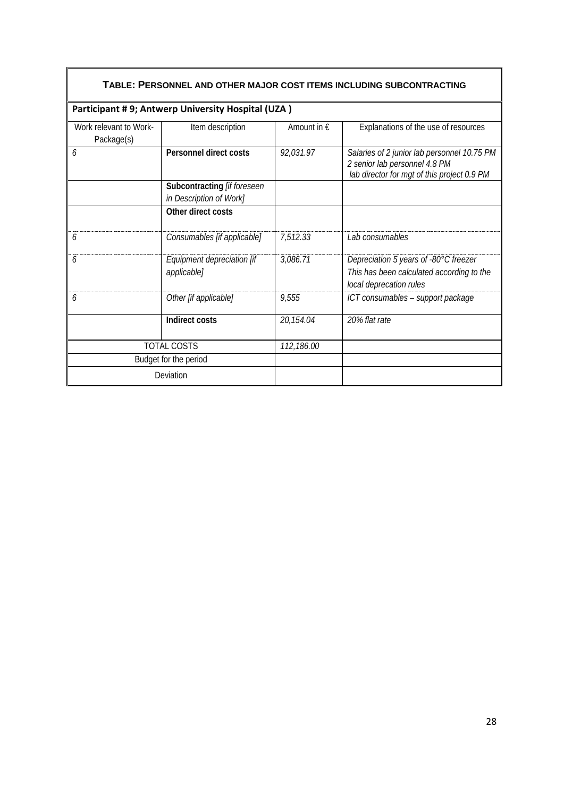| TABLE: PERSONNEL AND OTHER MAJOR COST ITEMS INCLUDING SUBCONTRACTING |                                                        |                      |                                                                                                                             |  |
|----------------------------------------------------------------------|--------------------------------------------------------|----------------------|-----------------------------------------------------------------------------------------------------------------------------|--|
|                                                                      | Participant #9; Antwerp University Hospital (UZA)      |                      |                                                                                                                             |  |
| Work relevant to Work-<br>Package(s)                                 | Item description                                       | Amount in $\epsilon$ | Explanations of the use of resources                                                                                        |  |
| 6                                                                    | Personnel direct costs                                 | 92,031.97            | Salaries of 2 junior lab personnel 10.75 PM<br>2 senior lab personnel 4.8 PM<br>lab director for mgt of this project 0.9 PM |  |
|                                                                      | Subcontracting [if foreseen<br>in Description of Work] |                      |                                                                                                                             |  |
|                                                                      | Other direct costs                                     |                      |                                                                                                                             |  |
| 6                                                                    | Consumables [if applicable]                            | 7,512.33             | Lab consumables                                                                                                             |  |
| b                                                                    | Equipment depreciation [if<br>applicable]              | 3,086.71             | Depreciation 5 years of -80°C freezer<br>This has been calculated according to the<br>local deprecation rules               |  |
| b                                                                    | Other [if applicable]                                  | 9,555                | ICT consumables - support package                                                                                           |  |
|                                                                      | Indirect costs                                         | 20,154.04            | 20% flat rate                                                                                                               |  |
| <b>TOTAL COSTS</b>                                                   |                                                        | 112,186.00           |                                                                                                                             |  |
| Budget for the period                                                |                                                        |                      |                                                                                                                             |  |
| Deviation                                                            |                                                        |                      |                                                                                                                             |  |

## 28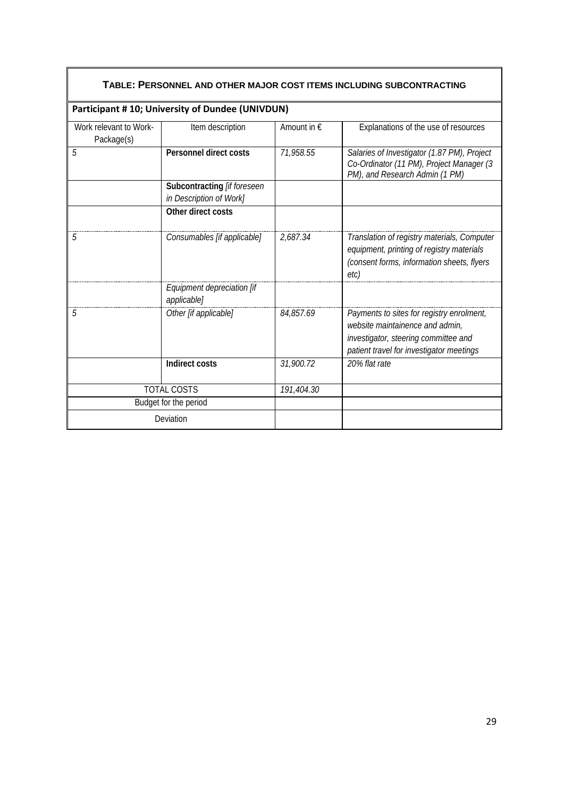| TABLE: PERSONNEL AND OTHER MAJOR COST ITEMS INCLUDING SUBCONTRACTING |                                                        |                      |                                                                                                                                                                  |  |
|----------------------------------------------------------------------|--------------------------------------------------------|----------------------|------------------------------------------------------------------------------------------------------------------------------------------------------------------|--|
|                                                                      | Participant #10; University of Dundee (UNIVDUN)        |                      |                                                                                                                                                                  |  |
| Work relevant to Work-<br>Package(s)                                 | Item description                                       | Amount in $\epsilon$ | Explanations of the use of resources                                                                                                                             |  |
| 5                                                                    | Personnel direct costs                                 | 71,958.55            | Salaries of Investigator (1.87 PM), Project<br>Co-Ordinator (11 PM), Project Manager (3<br>PM), and Research Admin (1 PM)                                        |  |
|                                                                      | Subcontracting [if foreseen<br>in Description of Work] |                      |                                                                                                                                                                  |  |
|                                                                      | Other direct costs                                     |                      |                                                                                                                                                                  |  |
| 5                                                                    | Consumables [if applicable]                            | 2,687.34             | Translation of registry materials, Computer<br>equipment, printing of registry materials<br>(consent forms, information sheets, flyers<br>etc)                   |  |
|                                                                      | Equipment depreciation [if<br>applicable]              |                      |                                                                                                                                                                  |  |
| 5                                                                    | Other [if applicable]                                  | 84,857.69            | Payments to sites for registry enrolment,<br>website maintainence and admin,<br>investigator, steering committee and<br>patient travel for investigator meetings |  |
|                                                                      | <b>Indirect costs</b>                                  | 31,900.72            | 20% flat rate                                                                                                                                                    |  |
| <b>TOTAL COSTS</b>                                                   |                                                        | 191,404.30           |                                                                                                                                                                  |  |
|                                                                      | Budget for the period                                  |                      |                                                                                                                                                                  |  |
| Deviation                                                            |                                                        |                      |                                                                                                                                                                  |  |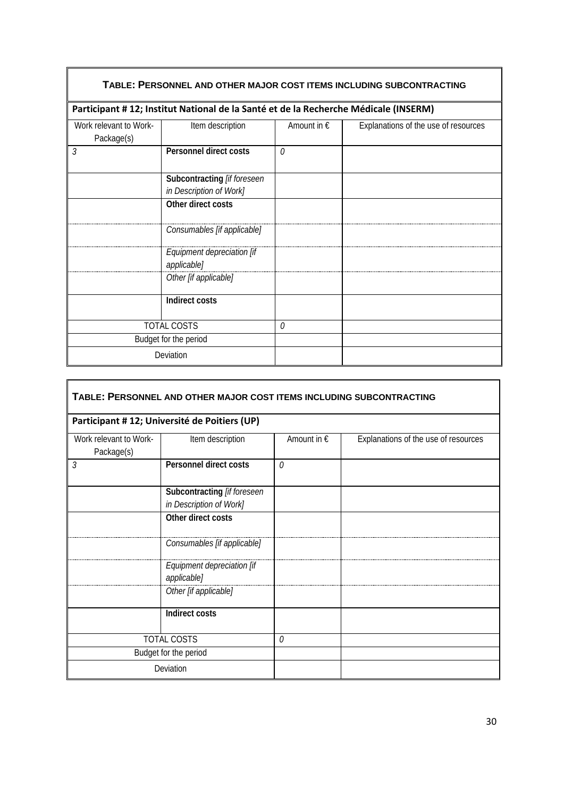| TABLE: PERSONNEL AND OTHER MAJOR COST ITEMS INCLUDING SUBCONTRACTING |                                                                                      |             |                                      |
|----------------------------------------------------------------------|--------------------------------------------------------------------------------------|-------------|--------------------------------------|
|                                                                      | Participant # 12; Institut National de la Santé et de la Recherche Médicale (INSERM) |             |                                      |
| Work relevant to Work-<br>Package(s)                                 | Item description                                                                     | Amount in € | Explanations of the use of resources |
| 3                                                                    | Personnel direct costs                                                               | $\theta$    |                                      |
|                                                                      | Subcontracting [if foreseen<br>in Description of Work]                               |             |                                      |
|                                                                      | Other direct costs                                                                   |             |                                      |
|                                                                      | Consumables [if applicable]                                                          |             |                                      |
|                                                                      | Equipment depreciation [if<br>applicable]                                            |             |                                      |
|                                                                      | Other [if applicable]                                                                |             |                                      |
|                                                                      | Indirect costs                                                                       |             |                                      |
| <b>TOTAL COSTS</b>                                                   |                                                                                      | $\theta$    |                                      |
| Budget for the period                                                |                                                                                      |             |                                      |
| Deviation                                                            |                                                                                      |             |                                      |

| TABLE: PERSONNEL AND OTHER MAJOR COST ITEMS INCLUDING SUBCONTRACTING |                                                        |             |                                      |  |
|----------------------------------------------------------------------|--------------------------------------------------------|-------------|--------------------------------------|--|
|                                                                      | Participant # 12; Université de Poitiers (UP)          |             |                                      |  |
| Work relevant to Work-<br>Package(s)                                 | Item description                                       | Amount in € | Explanations of the use of resources |  |
| 3                                                                    | Personnel direct costs                                 | $\Omega$    |                                      |  |
|                                                                      | Subcontracting [if foreseen<br>in Description of Work] |             |                                      |  |
|                                                                      | Other direct costs                                     |             |                                      |  |
|                                                                      | Consumables [if applicable]                            |             |                                      |  |
|                                                                      | Equipment depreciation [if<br>applicable]              |             |                                      |  |
|                                                                      | Other [if applicable]                                  |             |                                      |  |
|                                                                      | Indirect costs                                         |             |                                      |  |
| <b>TOTAL COSTS</b>                                                   |                                                        | $\theta$    |                                      |  |
|                                                                      | Budget for the period                                  |             |                                      |  |
|                                                                      | Deviation                                              |             |                                      |  |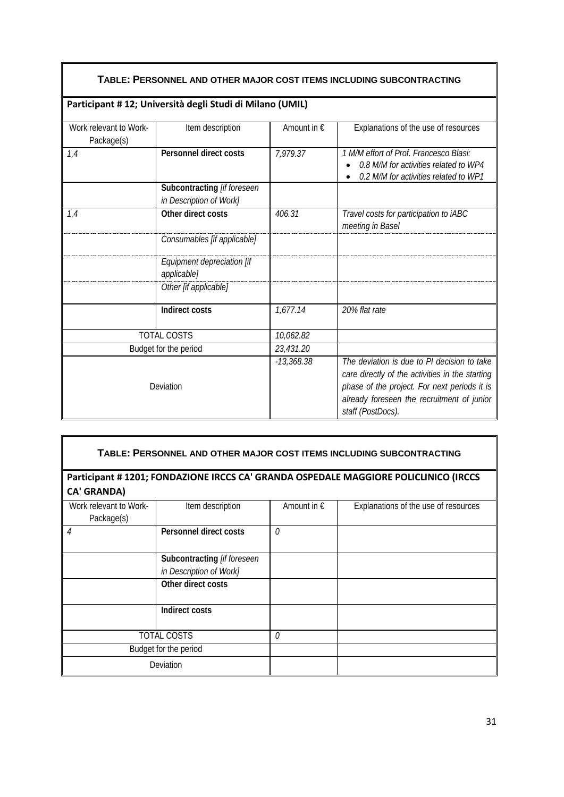## **TABLE: PERSONNEL AND OTHER MAJOR COST ITEMS INCLUDING SUBCONTRACTING**

|                                      | Participant # 12; Università degli Studi di Milano (UMIL) |                      |                                                                                                                                                                                                                   |
|--------------------------------------|-----------------------------------------------------------|----------------------|-------------------------------------------------------------------------------------------------------------------------------------------------------------------------------------------------------------------|
| Work relevant to Work-<br>Package(s) | Item description                                          | Amount in $\epsilon$ | Explanations of the use of resources                                                                                                                                                                              |
| 1,4                                  | Personnel direct costs                                    | 7,979.37             | 1 M/M effort of Prof. Francesco Blasi:<br>0.8 M/M for activities related to WP4<br>0.2 M/M for activities related to WP1                                                                                          |
|                                      | Subcontracting [if foreseen<br>in Description of Work]    |                      |                                                                                                                                                                                                                   |
| 1,4                                  | Other direct costs                                        | 406.31               | Travel costs for participation to iABC<br>meeting in Basel                                                                                                                                                        |
|                                      | Consumables [if applicable]                               |                      |                                                                                                                                                                                                                   |
|                                      | Equipment depreciation [if<br>applicable]                 |                      |                                                                                                                                                                                                                   |
|                                      | Other [if applicable]                                     |                      |                                                                                                                                                                                                                   |
|                                      | Indirect costs                                            | 1,677.14             | 20% flat rate                                                                                                                                                                                                     |
|                                      | <b>TOTAL COSTS</b>                                        | 10,062.82            |                                                                                                                                                                                                                   |
| Budget for the period                |                                                           | 23,431.20            |                                                                                                                                                                                                                   |
| Deviation                            |                                                           | $-13,368.38$         | The deviation is due to PI decision to take<br>care directly of the activities in the starting<br>phase of the project. For next periods it is<br>already foreseen the recruitment of junior<br>staff (PostDocs). |

| TABLE: PERSONNEL AND OTHER MAJOR COST ITEMS INCLUDING SUBCONTRACTING |                                                        |                      |                                                                                     |  |
|----------------------------------------------------------------------|--------------------------------------------------------|----------------------|-------------------------------------------------------------------------------------|--|
| <b>CA' GRANDA)</b>                                                   |                                                        |                      | Participant #1201; FONDAZIONE IRCCS CA' GRANDA OSPEDALE MAGGIORE POLICLINICO (IRCCS |  |
| Work relevant to Work-<br>Package(s)                                 | Item description                                       | Amount in $\epsilon$ | Explanations of the use of resources                                                |  |
| $\overline{4}$                                                       | Personnel direct costs                                 | 0                    |                                                                                     |  |
|                                                                      | Subcontracting [if foreseen<br>in Description of Work] |                      |                                                                                     |  |
|                                                                      | Other direct costs                                     |                      |                                                                                     |  |
|                                                                      | Indirect costs                                         |                      |                                                                                     |  |
|                                                                      | <b>TOTAL COSTS</b>                                     | 0                    |                                                                                     |  |
|                                                                      | Budget for the period                                  |                      |                                                                                     |  |
|                                                                      | Deviation                                              |                      |                                                                                     |  |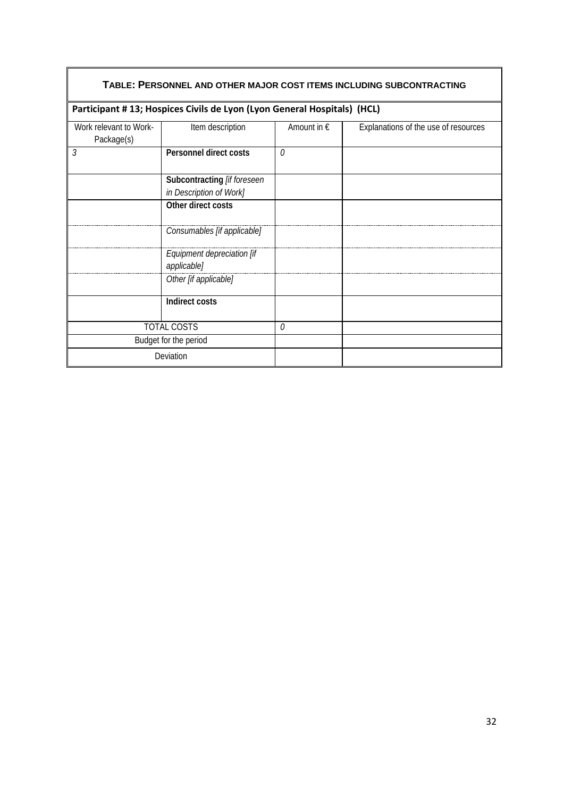| TABLE: PERSONNEL AND OTHER MAJOR COST ITEMS INCLUDING SUBCONTRACTING |                                                                         |                      |                                      |  |
|----------------------------------------------------------------------|-------------------------------------------------------------------------|----------------------|--------------------------------------|--|
|                                                                      | Participant #13; Hospices Civils de Lyon (Lyon General Hospitals) (HCL) |                      |                                      |  |
| Work relevant to Work-<br>Package(s)                                 | Item description                                                        | Amount in $\epsilon$ | Explanations of the use of resources |  |
| 3                                                                    | Personnel direct costs                                                  | $\Omega$             |                                      |  |
|                                                                      | Subcontracting [if foreseen                                             |                      |                                      |  |
|                                                                      | in Description of Work]                                                 |                      |                                      |  |
|                                                                      | Other direct costs                                                      |                      |                                      |  |
|                                                                      | Consumables [if applicable]                                             |                      |                                      |  |
|                                                                      | Equipment depreciation [if<br>applicable]                               |                      |                                      |  |
|                                                                      | Other [if applicable]                                                   |                      |                                      |  |
|                                                                      | Indirect costs                                                          |                      |                                      |  |
| <b>TOTAL COSTS</b>                                                   |                                                                         | $\Omega$             |                                      |  |
| Budget for the period                                                |                                                                         |                      |                                      |  |
| Deviation                                                            |                                                                         |                      |                                      |  |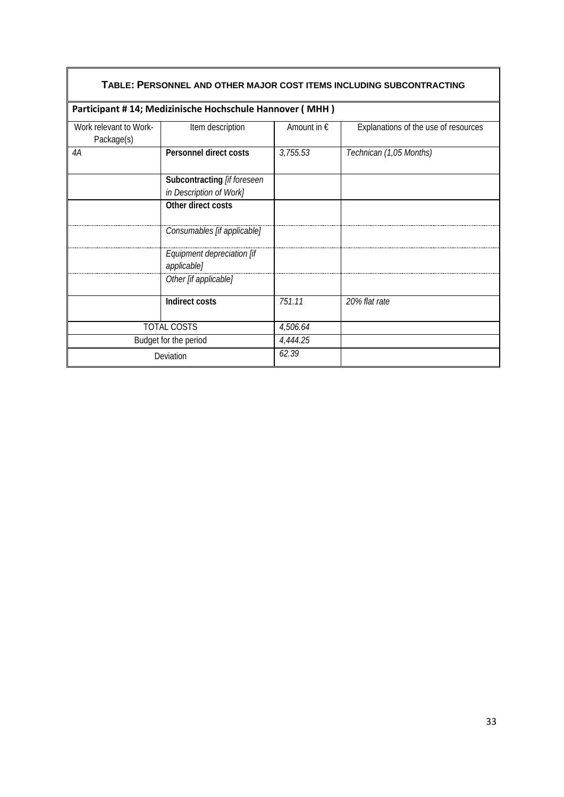| TABLE: PERSONNEL AND OTHER MAJOR COST ITEMS INCLUDING SUBCONTRACTING |                                                         |                      |                                      |  |
|----------------------------------------------------------------------|---------------------------------------------------------|----------------------|--------------------------------------|--|
|                                                                      | Participant #14; Medizinische Hochschule Hannover (MHH) |                      |                                      |  |
| Work relevant to Work-<br>Package(s)                                 | Item description                                        | Amount in $\epsilon$ | Explanations of the use of resources |  |
| 4A                                                                   | Personnel direct costs                                  | 3,755.53             | Technican (1,05 Months)              |  |
|                                                                      | Subcontracting [if foreseen                             |                      |                                      |  |
|                                                                      | in Description of Work]                                 |                      |                                      |  |
|                                                                      | Other direct costs                                      |                      |                                      |  |
|                                                                      | Consumables [if applicable]                             |                      |                                      |  |
|                                                                      | Equipment depreciation [if                              |                      |                                      |  |
|                                                                      | applicable]                                             |                      |                                      |  |
|                                                                      | Other [if applicable]                                   |                      |                                      |  |
|                                                                      | Indirect costs                                          | 751.11               | 20% flat rate                        |  |
|                                                                      | <b>TOTAL COSTS</b>                                      | 4,506.64             |                                      |  |
|                                                                      | Budget for the period                                   | 4,444.25             |                                      |  |
| Deviation                                                            |                                                         | 62.39                |                                      |  |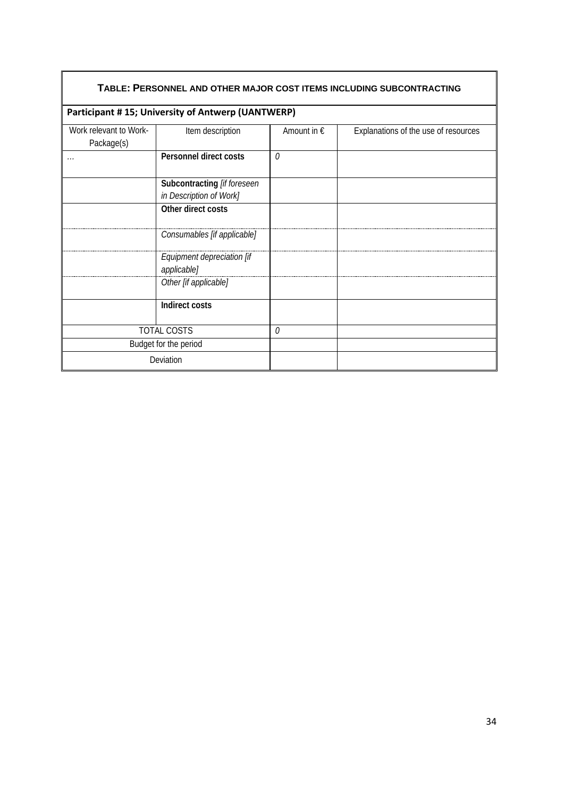| TABLE: PERSONNEL AND OTHER MAJOR COST ITEMS INCLUDING SUBCONTRACTING |                                                        |                      |                                      |  |
|----------------------------------------------------------------------|--------------------------------------------------------|----------------------|--------------------------------------|--|
|                                                                      | Participant #15; University of Antwerp (UANTWERP)      |                      |                                      |  |
| Work relevant to Work-<br>Package(s)                                 | Item description                                       | Amount in $\epsilon$ | Explanations of the use of resources |  |
| .                                                                    | Personnel direct costs                                 | 0                    |                                      |  |
|                                                                      | Subcontracting [if foreseen<br>in Description of Work] |                      |                                      |  |
|                                                                      | Other direct costs                                     |                      |                                      |  |
|                                                                      | Consumables [if applicable]                            |                      |                                      |  |
|                                                                      | Equipment depreciation [if<br>applicable]              |                      |                                      |  |
|                                                                      | Other [if applicable]                                  |                      |                                      |  |
|                                                                      | Indirect costs                                         |                      |                                      |  |
|                                                                      | <b>TOTAL COSTS</b>                                     | 0                    |                                      |  |
|                                                                      | Budget for the period                                  |                      |                                      |  |
|                                                                      | Deviation                                              |                      |                                      |  |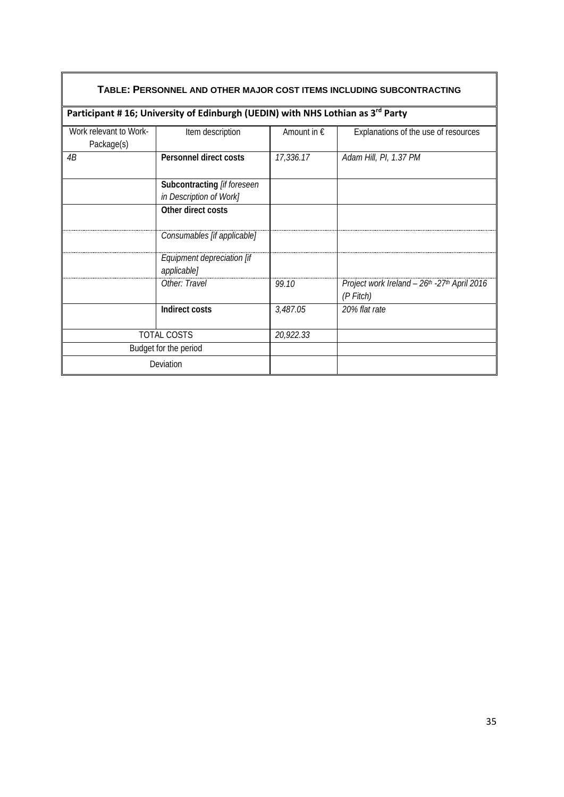| TABLE: PERSONNEL AND OTHER MAJOR COST ITEMS INCLUDING SUBCONTRACTING |                                                                                            |                      |                                                            |  |
|----------------------------------------------------------------------|--------------------------------------------------------------------------------------------|----------------------|------------------------------------------------------------|--|
|                                                                      | Participant #16; University of Edinburgh (UEDIN) with NHS Lothian as 3 <sup>rd</sup> Party |                      |                                                            |  |
| Work relevant to Work-<br>Package(s)                                 | Item description                                                                           | Amount in $\epsilon$ | Explanations of the use of resources                       |  |
| 4B                                                                   | Personnel direct costs                                                                     | 17,336.17            | Adam Hill, PI, 1.37 PM                                     |  |
|                                                                      | Subcontracting [if foreseen<br>in Description of Work]                                     |                      |                                                            |  |
|                                                                      | Other direct costs                                                                         |                      |                                                            |  |
|                                                                      | Consumables [if applicable]                                                                |                      |                                                            |  |
|                                                                      | Equipment depreciation [if<br>applicable]                                                  |                      |                                                            |  |
|                                                                      | Other: Travel                                                                              | 99.10                | Project work Ireland - 26th - 27th April 2016<br>(P Fitch) |  |
|                                                                      | Indirect costs                                                                             | 3,487.05             | 20% flat rate                                              |  |
|                                                                      | TOTAL COSTS                                                                                | 20,922.33            |                                                            |  |
|                                                                      | Budget for the period                                                                      |                      |                                                            |  |
|                                                                      | Deviation                                                                                  |                      |                                                            |  |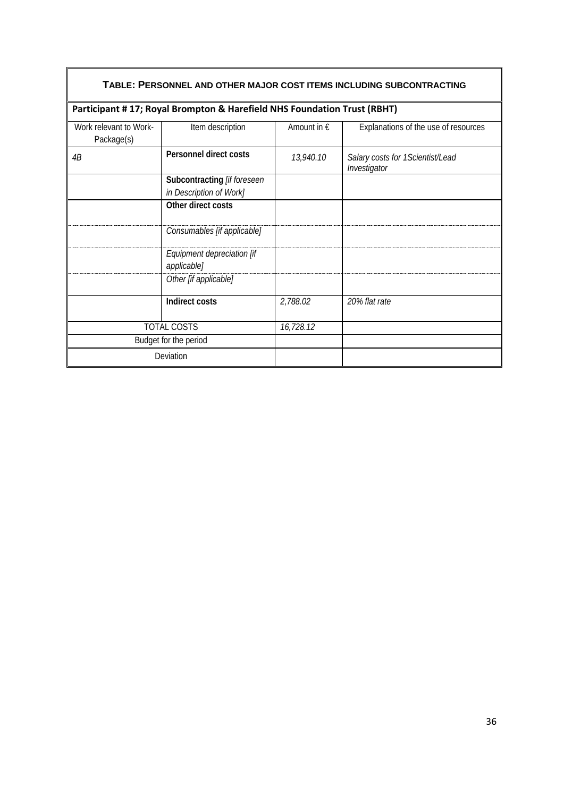| TABLE: PERSONNEL AND OTHER MAJOR COST ITEMS INCLUDING SUBCONTRACTING |                                                                         |                      |                                                  |  |
|----------------------------------------------------------------------|-------------------------------------------------------------------------|----------------------|--------------------------------------------------|--|
|                                                                      | Participant #17; Royal Brompton & Harefield NHS Foundation Trust (RBHT) |                      |                                                  |  |
| Work relevant to Work-<br>Package(s)                                 | Item description                                                        | Amount in $\epsilon$ | Explanations of the use of resources             |  |
| 4B                                                                   | Personnel direct costs                                                  | 13,940.10            | Salary costs for 1Scientist/Lead<br>Investigator |  |
|                                                                      | Subcontracting [if foreseen                                             |                      |                                                  |  |
|                                                                      | in Description of Work]                                                 |                      |                                                  |  |
|                                                                      | Other direct costs                                                      |                      |                                                  |  |
|                                                                      | Consumables [if applicable]                                             |                      |                                                  |  |
|                                                                      | Equipment depreciation [if<br>applicable]                               |                      |                                                  |  |
|                                                                      | Other [if applicable]                                                   |                      |                                                  |  |
|                                                                      | <b>Indirect costs</b>                                                   | 2,788.02             | 20% flat rate                                    |  |
| <b>TOTAL COSTS</b>                                                   |                                                                         | 16,728.12            |                                                  |  |
| Budget for the period                                                |                                                                         |                      |                                                  |  |
| Deviation                                                            |                                                                         |                      |                                                  |  |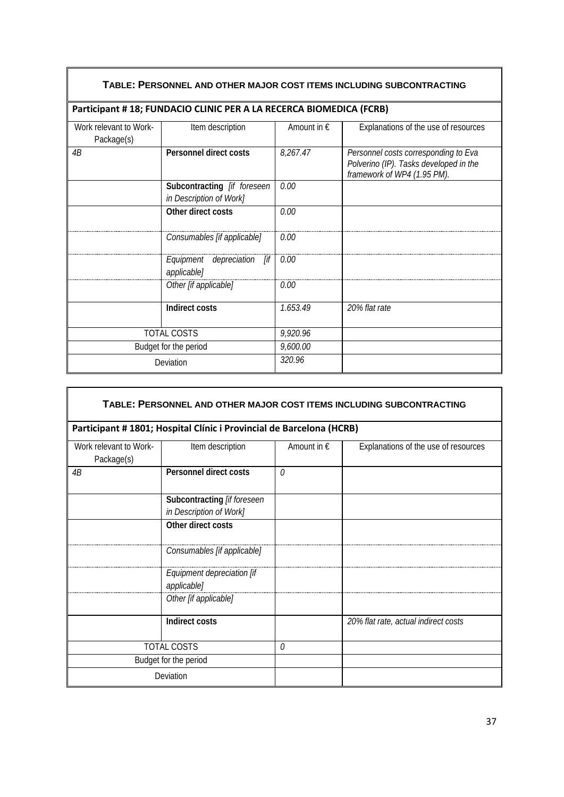| TABLE: PERSONNEL AND OTHER MAJOR COST ITEMS INCLUDING SUBCONTRACTING |                                                                    |                      |                                                                                                               |  |
|----------------------------------------------------------------------|--------------------------------------------------------------------|----------------------|---------------------------------------------------------------------------------------------------------------|--|
|                                                                      | Participant #18; FUNDACIO CLINIC PER A LA RECERCA BIOMEDICA (FCRB) |                      |                                                                                                               |  |
| Work relevant to Work-<br>Package(s)                                 | Item description                                                   | Amount in $\epsilon$ | Explanations of the use of resources                                                                          |  |
| 4B                                                                   | <b>Personnel direct costs</b>                                      | 8,267.47             | Personnel costs corresponding to Eva<br>Polverino (IP). Tasks developed in the<br>framework of WP4 (1.95 PM). |  |
|                                                                      | Subcontracting [if foreseen<br>in Description of Work]             | 0.00                 |                                                                                                               |  |
|                                                                      | Other direct costs                                                 | 0.00                 |                                                                                                               |  |
|                                                                      | Consumables [if applicable]                                        | 0.00                 |                                                                                                               |  |
|                                                                      | Equipment depreciation [if<br>applicable]                          | 0.00                 |                                                                                                               |  |
|                                                                      | Other [if applicable]                                              | 0.00                 |                                                                                                               |  |
|                                                                      | Indirect costs                                                     | 1.653.49             | 20% flat rate                                                                                                 |  |
|                                                                      | <b>TOTAL COSTS</b>                                                 | 9,920.96             |                                                                                                               |  |
|                                                                      | Budget for the period                                              | 9,600.00             |                                                                                                               |  |
|                                                                      | Deviation                                                          | 320.96               |                                                                                                               |  |

| TABLE: PERSONNEL AND OTHER MAJOR COST ITEMS INCLUDING SUBCONTRACTING |                                                                      |                      |                                      |  |
|----------------------------------------------------------------------|----------------------------------------------------------------------|----------------------|--------------------------------------|--|
|                                                                      | Participant # 1801; Hospital Clínic i Provincial de Barcelona (HCRB) |                      |                                      |  |
| Work relevant to Work-<br>Package(s)                                 | Item description                                                     | Amount in $\epsilon$ | Explanations of the use of resources |  |
| 4B                                                                   | Personnel direct costs                                               | $\Omega$             |                                      |  |
|                                                                      | Subcontracting [if foreseen<br>in Description of Work]               |                      |                                      |  |
|                                                                      | Other direct costs                                                   |                      |                                      |  |
|                                                                      | Consumables [if applicable]                                          |                      |                                      |  |
|                                                                      | Equipment depreciation [if<br>applicable]                            |                      |                                      |  |
|                                                                      | Other [if applicable]                                                |                      |                                      |  |
|                                                                      | Indirect costs                                                       |                      | 20% flat rate, actual indirect costs |  |
|                                                                      | <b>TOTAL COSTS</b>                                                   |                      |                                      |  |
|                                                                      | Budget for the period                                                |                      |                                      |  |
|                                                                      | Deviation                                                            |                      |                                      |  |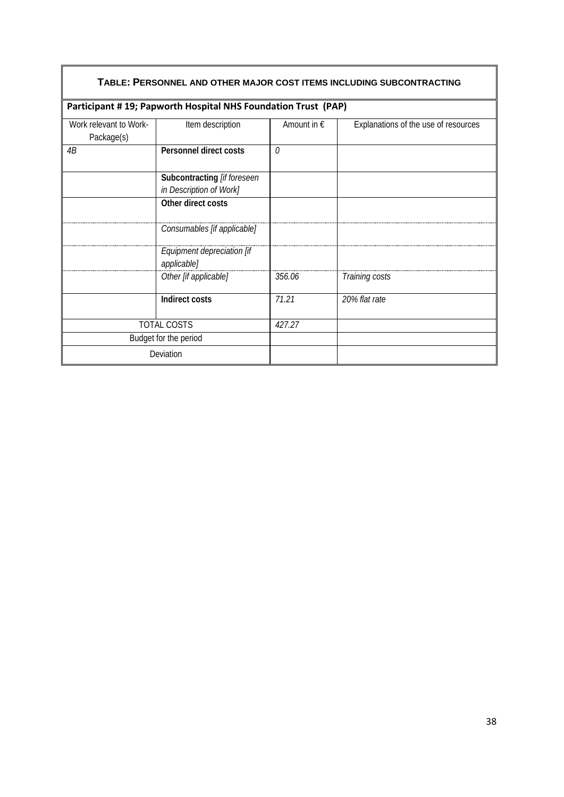| TABLE: PERSONNEL AND OTHER MAJOR COST ITEMS INCLUDING SUBCONTRACTING |                                                               |                      |                                      |  |
|----------------------------------------------------------------------|---------------------------------------------------------------|----------------------|--------------------------------------|--|
|                                                                      | Participant #19; Papworth Hospital NHS Foundation Trust (PAP) |                      |                                      |  |
| Work relevant to Work-<br>Package(s)                                 | Item description                                              | Amount in $\epsilon$ | Explanations of the use of resources |  |
| 4B                                                                   | Personnel direct costs                                        | $\theta$             |                                      |  |
|                                                                      | Subcontracting [if foreseen<br>in Description of Work]        |                      |                                      |  |
|                                                                      | Other direct costs                                            |                      |                                      |  |
|                                                                      | Consumables [if applicable]                                   |                      |                                      |  |
|                                                                      | Equipment depreciation [if<br>applicable]                     |                      |                                      |  |
|                                                                      | Other [if applicable]                                         | 356.06               | Training costs                       |  |
|                                                                      | <b>Indirect costs</b>                                         | 71.21                | 20% flat rate                        |  |
|                                                                      | <b>TOTAL COSTS</b>                                            | 427.27               |                                      |  |
|                                                                      | Budget for the period                                         |                      |                                      |  |
|                                                                      | Deviation                                                     |                      |                                      |  |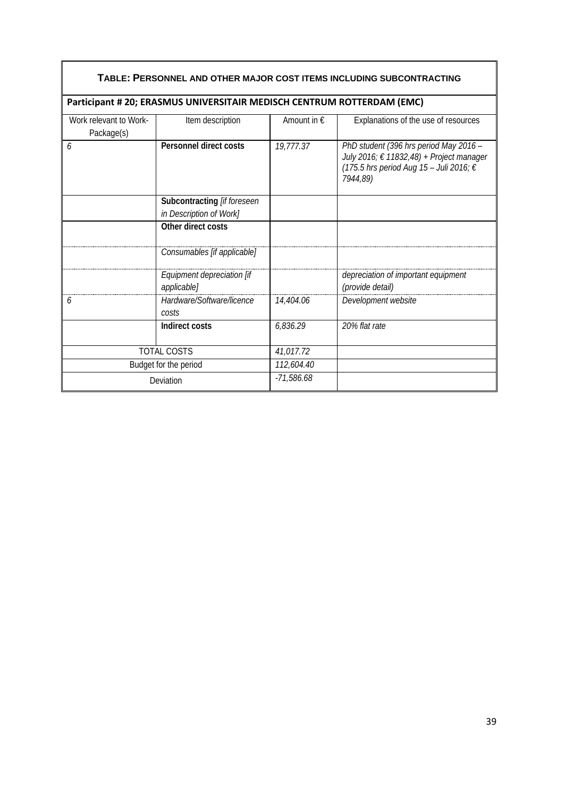| TABLE: PERSONNEL AND OTHER MAJOR COST ITEMS INCLUDING SUBCONTRACTING |                                                                        |                      |                                                                                                                                           |  |
|----------------------------------------------------------------------|------------------------------------------------------------------------|----------------------|-------------------------------------------------------------------------------------------------------------------------------------------|--|
|                                                                      | Participant # 20; ERASMUS UNIVERSITAIR MEDISCH CENTRUM ROTTERDAM (EMC) |                      |                                                                                                                                           |  |
| Work relevant to Work-<br>Package(s)                                 | Item description                                                       | Amount in $\epsilon$ | Explanations of the use of resources                                                                                                      |  |
| 6                                                                    | Personnel direct costs                                                 | 19,777.37            | PhD student (396 hrs period May 2016 -<br>July 2016; € 11832,48) + Project manager<br>(175.5 hrs period Aug 15 - Juli 2016; €<br>7944,89) |  |
|                                                                      | Subcontracting [if foreseen<br>in Description of Work]                 |                      |                                                                                                                                           |  |
|                                                                      | Other direct costs                                                     |                      |                                                                                                                                           |  |
|                                                                      | Consumables [if applicable]                                            |                      |                                                                                                                                           |  |
|                                                                      | Equipment depreciation [if<br>applicable]                              |                      | depreciation of important equipment<br>(provide detail)                                                                                   |  |
| 6                                                                    | Hardware/Software/licence<br>costs                                     | 14,404.06            | Development website                                                                                                                       |  |
|                                                                      | Indirect costs                                                         | 6,836.29             | 20% flat rate                                                                                                                             |  |
|                                                                      | <b>TOTAL COSTS</b>                                                     | 41,017.72            |                                                                                                                                           |  |
|                                                                      | Budget for the period                                                  | 112,604.40           |                                                                                                                                           |  |
|                                                                      | Deviation                                                              | $-71,586.68$         |                                                                                                                                           |  |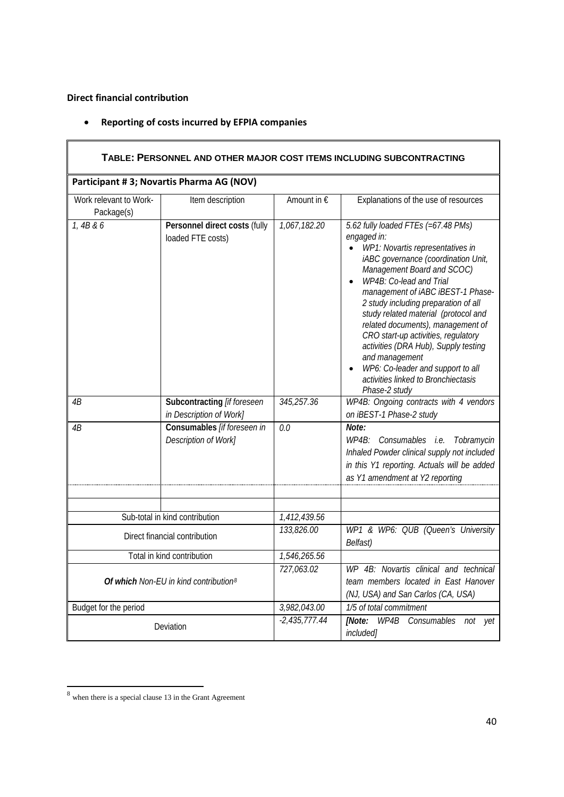**Direct financial contribution**

|  | <b>Reporting of costs incurred by EFPIA companies</b> |  |  |  |
|--|-------------------------------------------------------|--|--|--|
|--|-------------------------------------------------------|--|--|--|

| TABLE: PERSONNEL AND OTHER MAJOR COST ITEMS INCLUDING SUBCONTRACTING |                                                        |                 |                                                                                                                                                                                                                                                                                                                                                                                                                                                                                                                                                             |  |
|----------------------------------------------------------------------|--------------------------------------------------------|-----------------|-------------------------------------------------------------------------------------------------------------------------------------------------------------------------------------------------------------------------------------------------------------------------------------------------------------------------------------------------------------------------------------------------------------------------------------------------------------------------------------------------------------------------------------------------------------|--|
|                                                                      | Participant #3; Novartis Pharma AG (NOV)               |                 |                                                                                                                                                                                                                                                                                                                                                                                                                                                                                                                                                             |  |
| Work relevant to Work-<br>Package(s)                                 | Item description                                       | Amount in €     | Explanations of the use of resources                                                                                                                                                                                                                                                                                                                                                                                                                                                                                                                        |  |
| 1,4B & 6                                                             | Personnel direct costs (fully<br>loaded FTE costs)     | 1,067,182.20    | 5.62 fully loaded FTEs (=67.48 PMs)<br>engaged in:<br>WP1: Novartis representatives in<br>$\bullet$<br>iABC governance (coordination Unit,<br>Management Board and SCOC)<br>WP4B: Co-lead and Trial<br>management of iABC iBEST-1 Phase-<br>2 study including preparation of all<br>study related material (protocol and<br>related documents), management of<br>CRO start-up activities, regulatory<br>activities (DRA Hub), Supply testing<br>and management<br>WP6: Co-leader and support to all<br>activities linked to Bronchiectasis<br>Phase-2 study |  |
| 4B                                                                   | Subcontracting [if foreseen<br>in Description of Work] | 345,257.36      | WP4B: Ongoing contracts with 4 vendors<br>on iBEST-1 Phase-2 study                                                                                                                                                                                                                                                                                                                                                                                                                                                                                          |  |
| 4B                                                                   | Consumables [if foreseen in<br>Description of Work]    | 0.0             | Note:<br>WP4B: Consumables i.e.<br>Tobramycin<br>Inhaled Powder clinical supply not included<br>in this Y1 reporting. Actuals will be added<br>as Y1 amendment at Y2 reporting                                                                                                                                                                                                                                                                                                                                                                              |  |
|                                                                      | Sub-total in kind contribution                         | 1,412,439.56    |                                                                                                                                                                                                                                                                                                                                                                                                                                                                                                                                                             |  |
| Direct financial contribution                                        |                                                        | 133,826.00      | WP1 & WP6: QUB (Queen's University<br>Belfast)                                                                                                                                                                                                                                                                                                                                                                                                                                                                                                              |  |
|                                                                      | Total in kind contribution                             | 1,546,265.56    |                                                                                                                                                                                                                                                                                                                                                                                                                                                                                                                                                             |  |
| Of which Non-EU in kind contribution <sup>8</sup>                    |                                                        | 727,063.02      | WP 4B: Novartis clinical and technical<br>team members located in East Hanover<br>(NJ, USA) and San Carlos (CA, USA)                                                                                                                                                                                                                                                                                                                                                                                                                                        |  |
| Budget for the period                                                |                                                        | 3,982,043.00    | 1/5 of total commitment                                                                                                                                                                                                                                                                                                                                                                                                                                                                                                                                     |  |
|                                                                      | Deviation                                              | $-2,435,777.44$ | WP4B<br>[Note:<br>Consumables<br>not<br>yet<br>included]                                                                                                                                                                                                                                                                                                                                                                                                                                                                                                    |  |

<span id="page-39-0"></span> $8$  when there is a special clause 13 in the Grant Agreement

 $\blacksquare$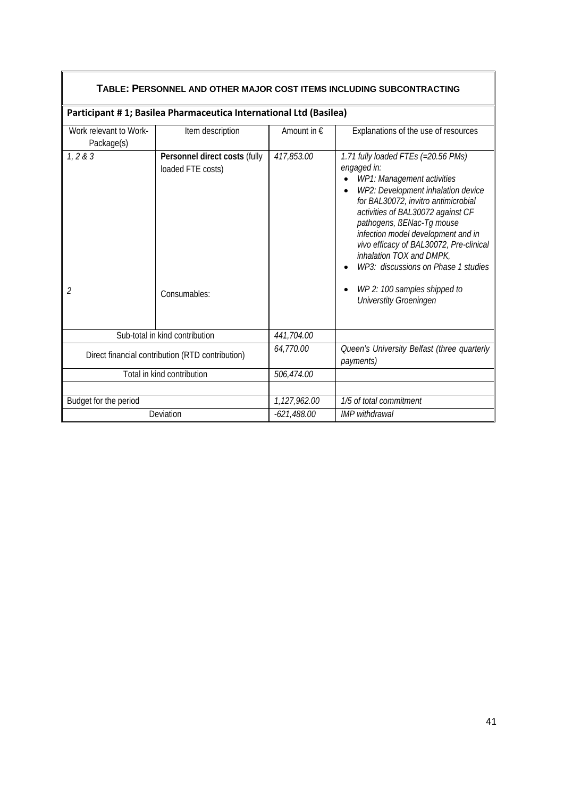| TABLE: PERSONNEL AND OTHER MAJOR COST ITEMS INCLUDING SUBCONTRACTING               |                                                                    |               |                                                                                                                                                                                                                                                                                                                                                                                                                                                      |  |
|------------------------------------------------------------------------------------|--------------------------------------------------------------------|---------------|------------------------------------------------------------------------------------------------------------------------------------------------------------------------------------------------------------------------------------------------------------------------------------------------------------------------------------------------------------------------------------------------------------------------------------------------------|--|
|                                                                                    | Participant #1; Basilea Pharmaceutica International Ltd (Basilea)  |               |                                                                                                                                                                                                                                                                                                                                                                                                                                                      |  |
| Work relevant to Work-<br>Package(s)                                               | Item description                                                   | Amount in €   | Explanations of the use of resources                                                                                                                                                                                                                                                                                                                                                                                                                 |  |
| 1, 2 & 3<br>2                                                                      | Personnel direct costs (fully<br>loaded FTE costs)<br>Consumables: | 417,853.00    | 1.71 fully loaded FTEs (=20.56 PMs)<br>engaged in:<br>WP1: Management activities<br>WP2: Development inhalation device<br>for BAL30072, invitro antimicrobial<br>activities of BAL30072 against CF<br>pathogens, BENac-Tg mouse<br>infection model development and in<br>vivo efficacy of BAL30072, Pre-clinical<br>inhalation TOX and DMPK,<br>WP3: discussions on Phase 1 studies<br>WP 2: 100 samples shipped to<br><b>Universtity Groeningen</b> |  |
|                                                                                    |                                                                    | 441,704.00    |                                                                                                                                                                                                                                                                                                                                                                                                                                                      |  |
| Sub-total in kind contribution<br>Direct financial contribution (RTD contribution) |                                                                    | 64,770.00     | Queen's University Belfast (three quarterly<br>payments)                                                                                                                                                                                                                                                                                                                                                                                             |  |
| Total in kind contribution                                                         |                                                                    | 506,474.00    |                                                                                                                                                                                                                                                                                                                                                                                                                                                      |  |
|                                                                                    |                                                                    |               |                                                                                                                                                                                                                                                                                                                                                                                                                                                      |  |
| Budget for the period                                                              |                                                                    | 1,127,962.00  | 1/5 of total commitment                                                                                                                                                                                                                                                                                                                                                                                                                              |  |
| Deviation                                                                          |                                                                    | $-621,488.00$ | <b>IMP</b> withdrawal                                                                                                                                                                                                                                                                                                                                                                                                                                |  |